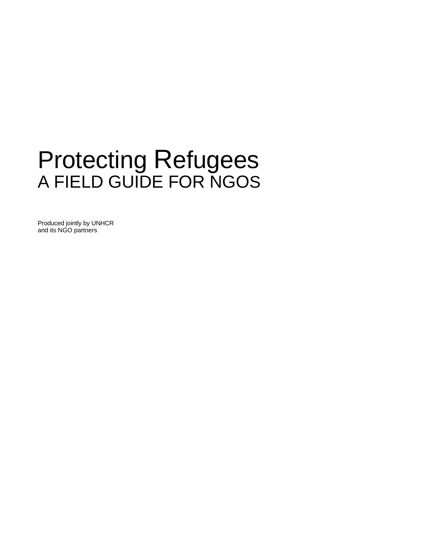# Protecting Refugees A FIELD GUIDE FOR NGOS

Produced jointly by UNHCR and its NGO partners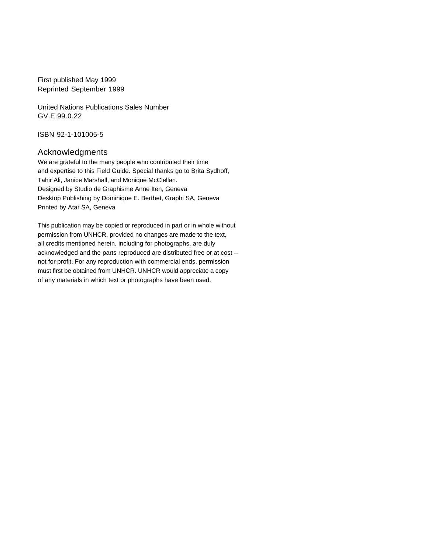First published May 1999 Reprinted September 1999

United Nations Publications Sales Number GV.E.99.0.22

ISBN 92-1-101005-5

#### Acknowledgments

We are grateful to the many people who contributed their time and expertise to this Field Guide. Special thanks go to Brita Sydhoff, Tahir Ali, Janice Marshall, and Monique McClellan. Designed by Studio de Graphisme Anne Iten, Geneva Desktop Publishing by Dominique E. Berthet, Graphi SA, Geneva Printed by Atar SA, Geneva

This publication may be copied or reproduced in part or in whole without permission from UNHCR, provided no changes are made to the text, all credits mentioned herein, including for photographs, are duly acknowledged and the parts reproduced are distributed free or at cost – not for profit. For any reproduction with commercial ends, permission must first be obtained from UNHCR. UNHCR would appreciate a copy of any materials in which text or photographs have been used.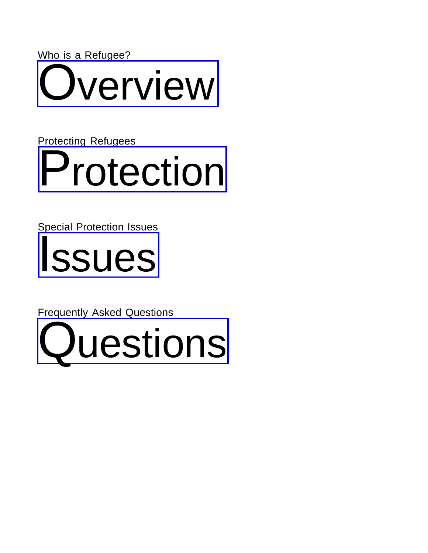Who is a Refugee? verview

Protecting Refugees [Protection](#page-16-0)

Special Protection Issues



Frequently Asked Questions

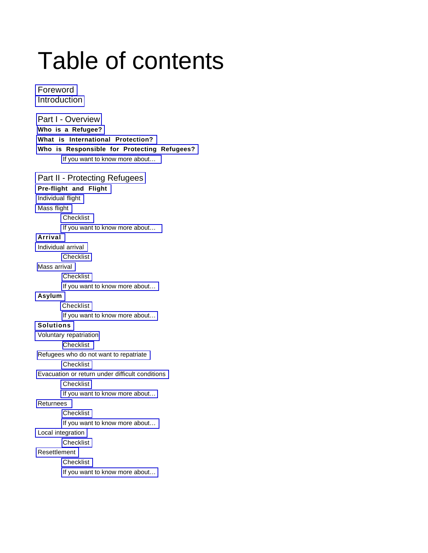# Table of contents

[Foreword](#page-5-0) [Introduction](#page-6-0)

[Part I - Overview](#page-7-0) **[Who is a Refugee?](#page-7-0) [What is International Protection?](#page-9-0) [Who is Responsible for Protecting Refugees?](#page-12-0)** [If you want to know more about…](#page-14-0)

[Part II - Protecting Refugees](#page-16-0) **[Pre-flight and Flight](#page-16-0)** [Individual flight](#page-17-0) [Mass flight](#page-18-0) **[Checklist](#page-19-0)** [If you want to know more about…](#page-19-0) **[Arrival](#page-20-0)** [Individual arrival](#page-20-0) **[Checklist](#page-24-0)** [Mass arrival](#page-25-0) [Checklist](#page-27-0) [If you want to know more about…](#page-27-0) **[Asylum](#page-28-0)** [Checklist](#page-35-0) [If you want to know more about…](#page-35-0) **[Solutions](#page-36-0)** [Voluntary repatriation](#page-36-0) [Checklist](#page-39-0) [Refugees who do not want to repatriate](#page-39-0) **[Checklist](#page-40-0)** [Evacuation or return under difficult conditions](#page-41-0) **[Checklist](#page-42-0)** [If you want to know more about…](#page-42-0) [Returnees](#page-43-0) **[Checklist](#page-44-0)** 

[If you want to know more about…](#page-44-0)

[Local integration](#page-45-0)

**[Checklist](#page-47-0)** 

[Resettlement](#page-48-0)

**[Checklist](#page-48-0)** 

[If you want to know more about…](#page-51-0)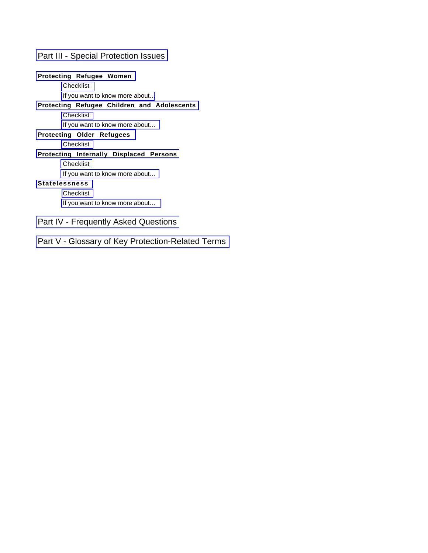#### [Part III - Special Protection Issues](#page-52-0)

#### **[Protecting Refugee Women](#page-52-0)**

[Checklist](#page-56-0)

[If you want to know more about…](#page-56-0)

#### **[Protecting Refugee Children and Adolescents](#page-57-0)**

[Checklist](#page-60-0)

[If you want to know more about…](#page-60-0)

**[Protecting Older Refugees](#page-62-0)**

[Checklist](#page-64-0)

#### **[Protecting Internally Displaced Persons](#page-65-0)**

[Checklist](#page-68-0)

[If you want to know more about…](#page-68-0)

#### **[Statelessness](#page-68-0)**

[Checklist](#page-71-0)

[If you want to know more about…](#page-71-0)

#### [Part IV - Frequently Asked Questions](#page-72-0)

[Part V - Glossary of Key Protection-Related Terms](#page-74-0)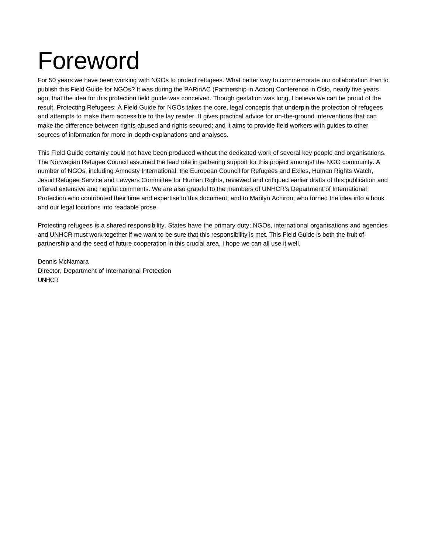# <span id="page-5-0"></span>Foreword

For 50 years we have been working with NGOs to protect refugees. What better way to commemorate our collaboration than to publish this Field Guide for NGOs? It was during the PARinAC (Partnership in Action) Conference in Oslo, nearly five years ago, that the idea for this protection field guide was conceived. Though gestation was long, I believe we can be proud of the result. Protecting Refugees: A Field Guide for NGOs takes the core, legal concepts that underpin the protection of refugees and attempts to make them accessible to the lay reader. It gives practical advice for on-the-ground interventions that can make the difference between rights abused and rights secured; and it aims to provide field workers with guides to other sources of information for more in-depth explanations and analyses.

This Field Guide certainly could not have been produced without the dedicated work of several key people and organisations. The Norwegian Refugee Council assumed the lead role in gathering support for this project amongst the NGO community. A number of NGOs, including Amnesty International, the European Council for Refugees and Exiles, Human Rights Watch, Jesuit Refugee Service and Lawyers Committee for Human Rights, reviewed and critiqued earlier drafts of this publication and offered extensive and helpful comments. We are also grateful to the members of UNHCR's Department of International Protection who contributed their time and expertise to this document; and to Marilyn Achiron, who turned the idea into a book and our legal locutions into readable prose.

Protecting refugees is a shared responsibility. States have the primary duty; NGOs, international organisations and agencies and UNHCR must work together if we want to be sure that this responsibility is met. This Field Guide is both the fruit of partnership and the seed of future cooperation in this crucial area. I hope we can all use it well.

Dennis McNamara Director, Department of International Protection UNHCR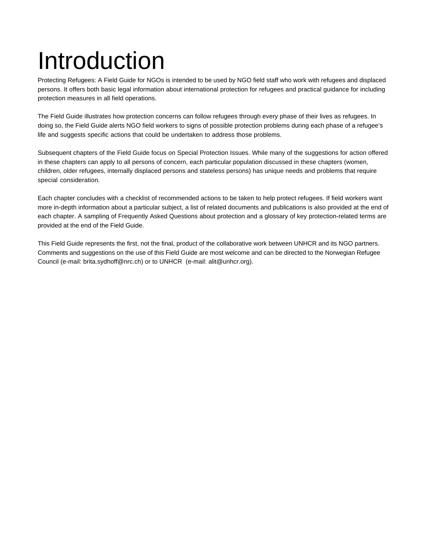# <span id="page-6-0"></span>Introduction

Protecting Refugees: A Field Guide for NGOs is intended to be used by NGO field staff who work with refugees and displaced persons. It offers both basic legal information about international protection for refugees and practical guidance for including protection measures in all field operations.

The Field Guide illustrates how protection concerns can follow refugees through every phase of their lives as refugees. In doing so, the Field Guide alerts NGO field workers to signs of possible protection problems during each phase of a refugee's life and suggests specific actions that could be undertaken to address those problems.

Subsequent chapters of the Field Guide focus on Special Protection Issues. While many of the suggestions for action offered in these chapters can apply to all persons of concern, each particular population discussed in these chapters (women, children, older refugees, internally displaced persons and stateless persons) has unique needs and problems that require special consideration.

Each chapter concludes with a checklist of recommended actions to be taken to help protect refugees. If field workers want more in-depth information about a particular subject, a list of related documents and publications is also provided at the end of each chapter. A sampling of Frequently Asked Questions about protection and a glossary of key protection-related terms are provided at the end of the Field Guide.

This Field Guide represents the first, not the final, product of the collaborative work between UNHCR and its NGO partners. Comments and suggestions on the use of this Field Guide are most welcome and can be directed to the Norwegian Refugee Council (e-mail: brita.sydhoff@nrc.ch) or to UNHCR (e-mail: alit@unhcr.org).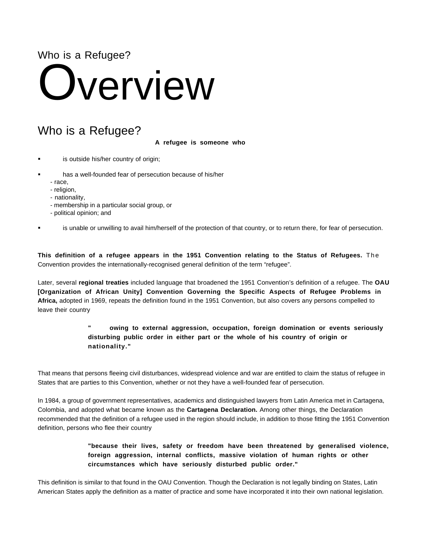### <span id="page-7-0"></span>Who is a Refugee?

# **Dverview**

# Who is a Refugee?

**A refugee is someone who**

- is outside his/her country of origin;
- has a well-founded fear of persecution because of his/her
	- race,
	- religion,
	- nationality,
	- membership in a particular social group, or
	- political opinion; and

is unable or unwilling to avail him/herself of the protection of that country, or to return there, for fear of persecution.

**This definition of a refugee appears in the 1951 Convention relating to the Status of Refugees.** The Convention provides the internationally-recognised general definition of the term "refugee".

Later, several **regional treaties** included language that broadened the 1951 Convention's definition of a refugee. The **OAU [Organization of African Unity] Convention Governing the Specific Aspects of Refugee Problems in Africa,** adopted in 1969, repeats the definition found in the 1951 Convention, but also covers any persons compelled to leave their country

#### **" owing to external aggression, occupation, foreign domination or events seriously disturbing public order in either part or the whole of his country of origin or nationality."**

That means that persons fleeing civil disturbances, widespread violence and war are entitled to claim the status of refugee in States that are parties to this Convention, whether or not they have a well-founded fear of persecution.

In 1984, a group of government representatives, academics and distinguished lawyers from Latin America met in Cartagena, Colombia, and adopted what became known as the **Cartagena Declaration.** Among other things, the Declaration recommended that the definition of a refugee used in the region should include, in addition to those fitting the 1951 Convention definition, persons who flee their country

> **"because their lives, safety or freedom have been threatened by generalised violence, foreign aggression, internal conflicts, massive violation of human rights or other circumstances which have seriously disturbed public order."**

This definition is similar to that found in the OAU Convention. Though the Declaration is not legally binding on States, Latin American States apply the definition as a matter of practice and some have incorporated it into their own national legislation.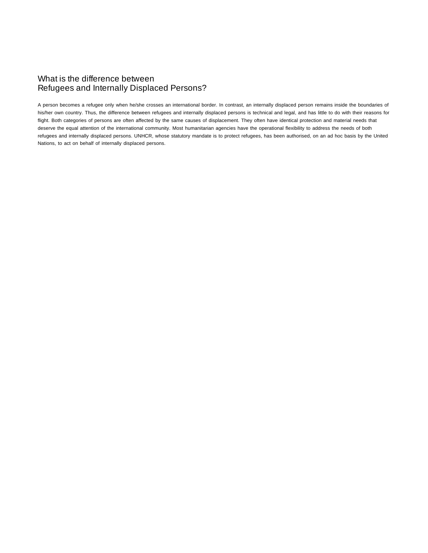#### What is the difference between Refugees and Internally Displaced Persons?

A person becomes a refugee only when he/she crosses an international border. In contrast, an internally displaced person remains inside the boundaries of his/her own country. Thus, the difference between refugees and internally displaced persons is technical and legal, and has little to do with their reasons for flight. Both categories of persons are often affected by the same causes of displacement. They often have identical protection and material needs that deserve the equal attention of the international community. Most humanitarian agencies have the operational flexibility to address the needs of both refugees and internally displaced persons. UNHCR, whose statutory mandate is to protect refugees, has been authorised, on an ad hoc basis by the United Nations, to act on behalf of internally displaced persons.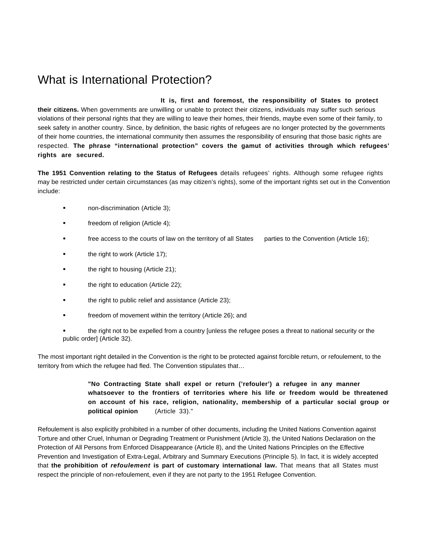# <span id="page-9-0"></span>What is International Protection?

**It is, first and foremost, the responsibility of States to protect their citizens.** When governments are unwilling or unable to protect their citizens, individuals may suffer such serious violations of their personal rights that they are willing to leave their homes, their friends, maybe even some of their family, to seek safety in another country. Since, by definition, the basic rights of refugees are no longer protected by the governments of their home countries, the international community then assumes the responsibility of ensuring that those basic rights are respected. **The phrase "international protection" covers the gamut of activities through which refugees' rights are secured.**

**The 1951 Convention relating to the Status of Refugees** details refugees' rights. Although some refugee rights may be restricted under certain circumstances (as may citizen's rights), some of the important rights set out in the Convention include:

- non-discrimination (Article 3);
- **freedom of religion (Article 4);**
- **free access to the courts of law on the territory of all States** parties to the Convention (Article 16);
- **the right to work (Article 17);**
- **the right to housing (Article 21);**
- **the right to education (Article 22);**
- the right to public relief and assistance (Article 23);
- **Falleh Freedom of movement within the territory (Article 26); and**
- the right not to be expelled from a country [unless the refugee poses a threat to national security or the public order] (Article 32).

The most important right detailed in the Convention is the right to be protected against forcible return, or refoulement, to the territory from which the refugee had fled. The Convention stipulates that…

> **"No Contracting State shall expel or return ('refouler') a refugee in any manner whatsoever to the frontiers of territories where his life or freedom would be threatened on account of his race, religion, nationality, membership of a particular social group or political opinion** (Article 33)."

Refoulement is also explicitly prohibited in a number of other documents, including the United Nations Convention against Torture and other Cruel, Inhuman or Degrading Treatment or Punishment (Article 3), the United Nations Declaration on the Protection of All Persons from Enforced Disappearance (Article 8), and the United Nations Principles on the Effective Prevention and Investigation of Extra-Legal, Arbitrary and Summary Executions (Principle 5). In fact, it is widely accepted that **the prohibition of refoulement is part of customary international law.** That means that all States must respect the principle of non-refoulement, even if they are not party to the 1951 Refugee Convention.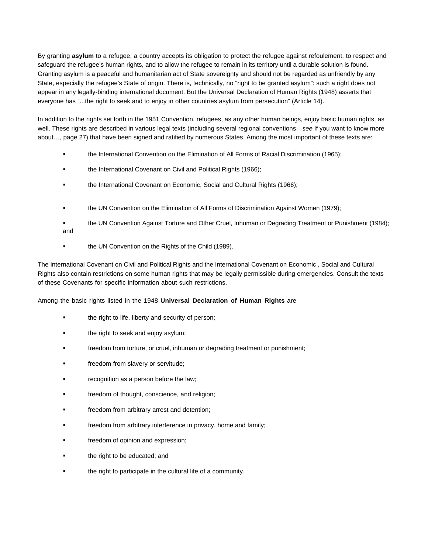By granting **asylum** to a refugee, a country accepts its obligation to protect the refugee against refoulement, to respect and safeguard the refugee's human rights, and to allow the refugee to remain in its territory until a durable solution is found. Granting asylum is a peaceful and humanitarian act of State sovereignty and should not be regarded as unfriendly by any State, especially the refugee's State of origin. There is, technically, no "right to be granted asylum": such a right does not appear in any legally-binding international document. But the Universal Declaration of Human Rights (1948) asserts that everyone has "...the right to seek and to enjoy in other countries asylum from persecution" (Article 14).

In addition to the rights set forth in the 1951 Convention, refugees, as any other human beings, enjoy basic human rights, as well. These rights are described in various legal texts (including several regional conventions—see If you want to know more about…, page 27) that have been signed and ratified by numerous States. Among the most important of these texts are:

- the International Convention on the Elimination of All Forms of Racial Discrimination (1965);
- the International Covenant on Civil and Political Rights (1966);
- the International Covenant on Economic, Social and Cultural Rights (1966);
- the UN Convention on the Elimination of All Forms of Discrimination Against Women (1979);
- the UN Convention Against Torture and Other Cruel, Inhuman or Degrading Treatment or Punishment (1984); and
- the UN Convention on the Rights of the Child (1989).

The International Covenant on Civil and Political Rights and the International Covenant on Economic , Social and Cultural Rights also contain restrictions on some human rights that may be legally permissible during emergencies. Consult the texts of these Covenants for specific information about such restrictions.

#### Among the basic rights listed in the 1948 **Universal Declaration of Human Rights** are

- the right to life, liberty and security of person;
- the right to seek and enjoy asylum;
- freedom from torture, or cruel, inhuman or degrading treatment or punishment;
- freedom from slavery or servitude;
- recognition as a person before the law;
- freedom of thought, conscience, and religion;
- freedom from arbitrary arrest and detention;
- freedom from arbitrary interference in privacy, home and family;
- freedom of opinion and expression;
- the right to be educated; and
- the right to participate in the cultural life of a community.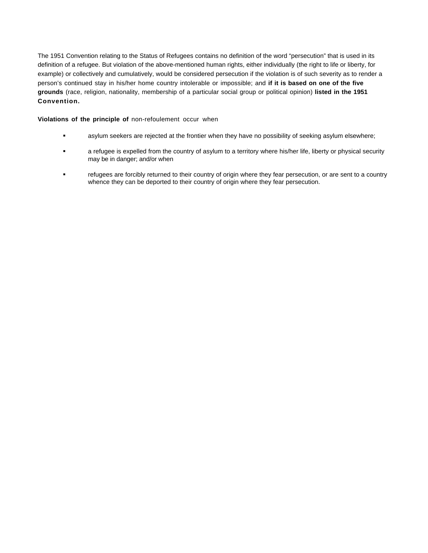The 1951 Convention relating to the Status of Refugees contains no definition of the word "persecution" that is used in its definition of a refugee. But violation of the above-mentioned human rights, either individually (the right to life or liberty, for example) or collectively and cumulatively, would be considered persecution if the violation is of such severity as to render a person's continued stay in his/her home country intolerable or impossible; and **if it is based on one of the five grounds** (race, religion, nationality, membership of a particular social group or political opinion) **listed in the 1951 Convention.**

#### **Violations of the principle of** non-refoulement occur when

- asylum seekers are rejected at the frontier when they have no possibility of seeking asylum elsewhere;
- a refugee is expelled from the country of asylum to a territory where his/her life, liberty or physical security may be in danger; and/or when
- refugees are forcibly returned to their country of origin where they fear persecution, or are sent to a country whence they can be deported to their country of origin where they fear persecution.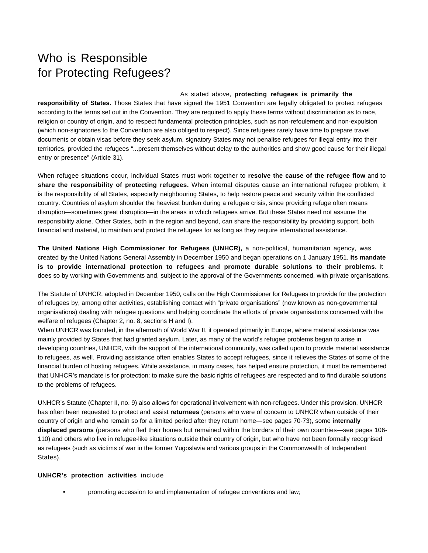# <span id="page-12-0"></span>Who is Responsible for Protecting Refugees?

#### As stated above, **protecting refugees is primarily the**

**responsibility of States.** Those States that have signed the 1951 Convention are legally obligated to protect refugees according to the terms set out in the Convention. They are required to apply these terms without discrimination as to race, religion or country of origin, and to respect fundamental protection principles, such as non-refoulement and non-expulsion (which non-signatories to the Convention are also obliged to respect). Since refugees rarely have time to prepare travel documents or obtain visas before they seek asylum, signatory States may not penalise refugees for illegal entry into their territories, provided the refugees "...present themselves without delay to the authorities and show good cause for their illegal entry or presence" (Article 31).

When refugee situations occur, individual States must work together to **resolve the cause of the refugee flow** and to **share the responsibility of protecting refugees.** When internal disputes cause an international refugee problem, it is the responsibility of all States, especially neighbouring States, to help restore peace and security within the conflicted country. Countries of asylum shoulder the heaviest burden during a refugee crisis, since providing refuge often means disruption—sometimes great disruption—in the areas in which refugees arrive. But these States need not assume the responsibility alone. Other States, both in the region and beyond, can share the responsibility by providing support, both financial and material, to maintain and protect the refugees for as long as they require international assistance.

**The United Nations High Commissioner for Refugees (UNHCR),** a non-political, humanitarian agency, was created by the United Nations General Assembly in December 1950 and began operations on 1 January 1951. **Its mandate is to provide international protection to refugees and promote durable solutions to their problems.** It does so by working with Governments and, subject to the approval of the Governments concerned, with private organisations.

The Statute of UNHCR, adopted in December 1950, calls on the High Commissioner for Refugees to provide for the protection of refugees by, among other activities, establishing contact with "private organisations" (now known as non-governmental organisations) dealing with refugee questions and helping coordinate the efforts of private organisations concerned with the welfare of refugees (Chapter 2, no. 8, sections H and I).

When UNHCR was founded, in the aftermath of World War II, it operated primarily in Europe, where material assistance was mainly provided by States that had granted asylum. Later, as many of the world's refugee problems began to arise in developing countries, UNHCR, with the support of the international community, was called upon to provide material assistance to refugees, as well. Providing assistance often enables States to accept refugees, since it relieves the States of some of the financial burden of hosting refugees. While assistance, in many cases, has helped ensure protection, it must be remembered that UNHCR's mandate is for protection: to make sure the basic rights of refugees are respected and to find durable solutions to the problems of refugees.

UNHCR's Statute (Chapter II, no. 9) also allows for operational involvement with non-refugees. Under this provision, UNHCR has often been requested to protect and assist **returnees** (persons who were of concern to UNHCR when outside of their country of origin and who remain so for a limited period after they return home—see pages 70-73), some **internally displaced persons** (persons who fled their homes but remained within the borders of their own countries—see pages 106- 110) and others who live in refugee-like situations outside their country of origin, but who have not been formally recognised as refugees (such as victims of war in the former Yugoslavia and various groups in the Commonwealth of Independent States).

#### **UNHCR's protection activities** include

promoting accession to and implementation of refugee conventions and law;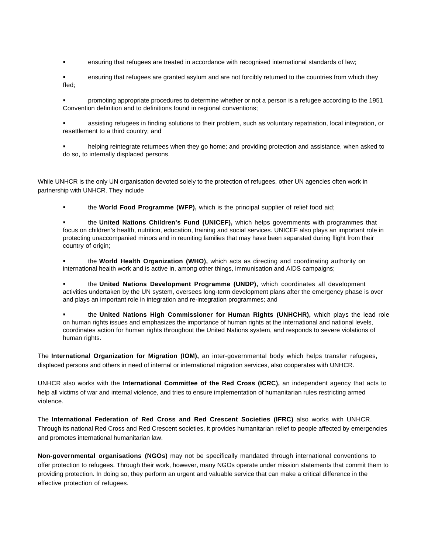- ensuring that refugees are treated in accordance with recognised international standards of law;
- ensuring that refugees are granted asylum and are not forcibly returned to the countries from which they fled;
- promoting appropriate procedures to determine whether or not a person is a refugee according to the 1951 Convention definition and to definitions found in regional conventions;
- assisting refugees in finding solutions to their problem, such as voluntary repatriation, local integration, or resettlement to a third country; and
- helping reintegrate returnees when they go home; and providing protection and assistance, when asked to do so, to internally displaced persons.

While UNHCR is the only UN organisation devoted solely to the protection of refugees, other UN agencies often work in partnership with UNHCR. They include

the **World Food Programme (WFP),** which is the principal supplier of relief food aid;

 the **United Nations Children's Fund (UNICEF),** which helps governments with programmes that focus on children's health, nutrition, education, training and social services. UNICEF also plays an important role in protecting unaccompanied minors and in reuniting families that may have been separated during flight from their country of origin;

 the **World Health Organization (WHO),** which acts as directing and coordinating authority on international health work and is active in, among other things, immunisation and AIDS campaigns;

 the **United Nations Development Programme (UNDP),** which coordinates all development activities undertaken by the UN system, oversees long-term development plans after the emergency phase is over and plays an important role in integration and re-integration programmes; and

 the **United Nations High Commissioner for Human Rights (UNHCHR),** which plays the lead role on human rights issues and emphasizes the importance of human rights at the international and national levels, coordinates action for human rights throughout the United Nations system, and responds to severe violations of human rights.

The **International Organization for Migration (IOM),** an inter-governmental body which helps transfer refugees, displaced persons and others in need of internal or international migration services, also cooperates with UNHCR.

UNHCR also works with the **International Committee of the Red Cross (ICRC),** an independent agency that acts to help all victims of war and internal violence, and tries to ensure implementation of humanitarian rules restricting armed violence.

The **International Federation of Red Cross and Red Crescent Societies (IFRC)** also works with UNHCR. Through its national Red Cross and Red Crescent societies, it provides humanitarian relief to people affected by emergencies and promotes international humanitarian law.

**Non-governmental organisations (NGOs)** may not be specifically mandated through international conventions to offer protection to refugees. Through their work, however, many NGOs operate under mission statements that commit them to providing protection. In doing so, they perform an urgent and valuable service that can make a critical difference in the effective protection of refugees.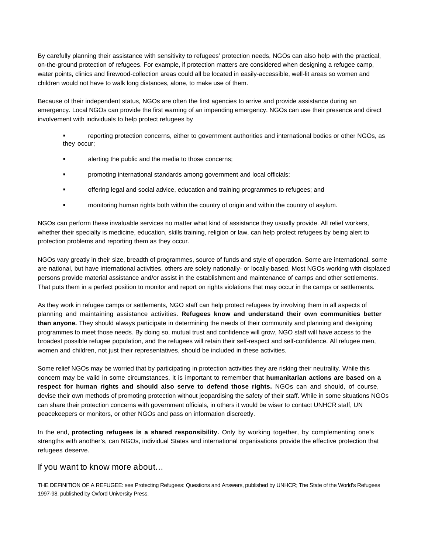<span id="page-14-0"></span>By carefully planning their assistance with sensitivity to refugees' protection needs, NGOs can also help with the practical, on-the-ground protection of refugees. For example, if protection matters are considered when designing a refugee camp, water points, clinics and firewood-collection areas could all be located in easily-accessible, well-lit areas so women and children would not have to walk long distances, alone, to make use of them.

Because of their independent status, NGOs are often the first agencies to arrive and provide assistance during an emergency. Local NGOs can provide the first warning of an impending emergency. NGOs can use their presence and direct involvement with individuals to help protect refugees by

- reporting protection concerns, either to government authorities and international bodies or other NGOs, as they occur;
- alerting the public and the media to those concerns;
- promoting international standards among government and local officials;
- offering legal and social advice, education and training programmes to refugees; and
- monitoring human rights both within the country of origin and within the country of asylum.

NGOs can perform these invaluable services no matter what kind of assistance they usually provide. All relief workers, whether their specialty is medicine, education, skills training, religion or law, can help protect refugees by being alert to protection problems and reporting them as they occur.

NGOs vary greatly in their size, breadth of programmes, source of funds and style of operation. Some are international, some are national, but have international activities, others are solely nationally- or locally-based. Most NGOs working with displaced persons provide material assistance and/or assist in the establishment and maintenance of camps and other settlements. That puts them in a perfect position to monitor and report on rights violations that may occur in the camps or settlements.

As they work in refugee camps or settlements, NGO staff can help protect refugees by involving them in all aspects of planning and maintaining assistance activities. **Refugees know and understand their own communities better than anyone.** They should always participate in determining the needs of their community and planning and designing programmes to meet those needs. By doing so, mutual trust and confidence will grow, NGO staff will have access to the broadest possible refugee population, and the refugees will retain their self-respect and self-confidence. All refugee men, women and children, not just their representatives, should be included in these activities.

Some relief NGOs may be worried that by participating in protection activities they are risking their neutrality. While this concern may be valid in some circumstances, it is important to remember that **humanitarian actions are based on a respect for human rights and should also serve to defend those rights.** NGOs can and should, of course, devise their own methods of promoting protection without jeopardising the safety of their staff. While in some situations NGOs can share their protection concerns with government officials, in others it would be wiser to contact UNHCR staff, UN peacekeepers or monitors, or other NGOs and pass on information discreetly.

In the end, **protecting refugees is a shared responsibility.** Only by working together, by complementing one's strengths with another's, can NGOs, individual States and international organisations provide the effective protection that refugees deserve.

#### If you want to know more about…

THE DEFINITION OF A REFUGEE: see Protecting Refugees: Questions and Answers, published by UNHCR; The State of the World's Refugees 1997-98, published by Oxford University Press.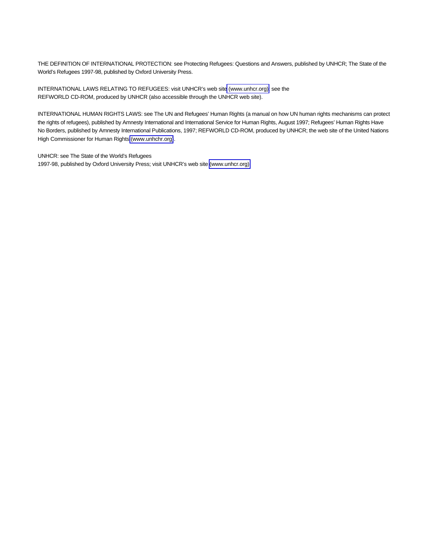THE DEFINITION OF INTERNATIONAL PROTECTION: see Protecting Refugees: Questions and Answers, published by UNHCR; The State of the World's Refugees 1997-98, published by Oxford University Press.

INTERNATIONAL LAWS RELATING TO REFUGEES: visit UNHCR's web sit[e \(www.unhcr.](http://www.unhcr.org)org); see the REFWORLD CD-ROM, produced by UNHCR (also accessible through the UNHCR web site).

INTERNATIONAL HUMAN RIGHTS LAWS: see The UN and Refugees' Human Rights (a manual on how UN human rights mechanisms can protect the rights of refugees), published by Amnesty International and International Service for Human Rights, August 1997; Refugees' Human Rights Have No Borders, published by Amnesty International Publications, 1997; REFWORLD CD-ROM, produced by UNHCR; the web site of the United Nations High Commissioner for Human Rights [\(www.unhchr.](http://www.unhcr.org)org).

UNHCR: see The State of the World's Refugees 1997-98, published by Oxford University Press; visit UNHCR's web site [\(www.unhcr.](http://www.unhcr.org)org).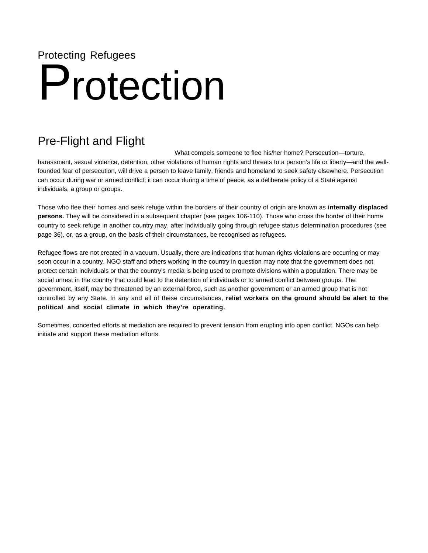# <span id="page-16-0"></span>Protecting Refugees

# Protection

# Pre-Flight and Flight

What compels someone to flee his/her home? Persecution—torture, harassment, sexual violence, detention, other violations of human rights and threats to a person's life or liberty—and the wellfounded fear of persecution, will drive a person to leave family, friends and homeland to seek safety elsewhere. Persecution can occur during war or armed conflict; it can occur during a time of peace, as a deliberate policy of a State against individuals, a group or groups.

Those who flee their homes and seek refuge within the borders of their country of origin are known as **internally displaced persons.** They will be considered in a subsequent chapter (see pages 106-110). Those who cross the border of their home country to seek refuge in another country may, after individually going through refugee status determination procedures (see page 36), or, as a group, on the basis of their circumstances, be recognised as refugees.

Refugee flows are not created in a vacuum. Usually, there are indications that human rights violations are occurring or may soon occur in a country. NGO staff and others working in the country in question may note that the government does not protect certain individuals or that the country's media is being used to promote divisions within a population. There may be social unrest in the country that could lead to the detention of individuals or to armed conflict between groups. The government, itself, may be threatened by an external force, such as another government or an armed group that is not controlled by any State. In any and all of these circumstances, **relief workers on the ground should be alert to the political and social climate in which they're operating.**

Sometimes, concerted efforts at mediation are required to prevent tension from erupting into open conflict. NGOs can help initiate and support these mediation efforts.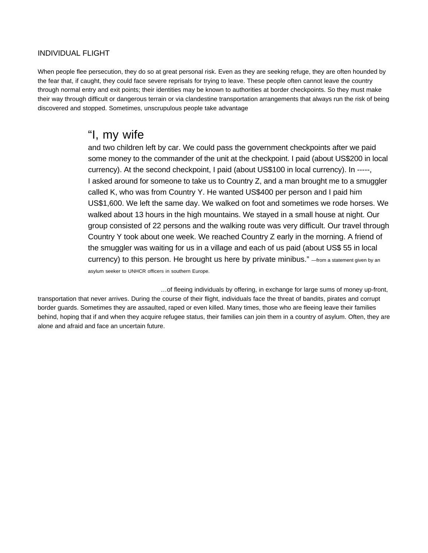#### <span id="page-17-0"></span>INDIVIDUAL FLIGHT

When people flee persecution, they do so at great personal risk. Even as they are seeking refuge, they are often hounded by the fear that, if caught, they could face severe reprisals for trying to leave. These people often cannot leave the country through normal entry and exit points; their identities may be known to authorities at border checkpoints. So they must make their way through difficult or dangerous terrain or via clandestine transportation arrangements that always run the risk of being discovered and stopped. Sometimes, unscrupulous people take advantage

## "I, my wife

and two children left by car. We could pass the government checkpoints after we paid some money to the commander of the unit at the checkpoint. I paid (about US\$200 in local currency). At the second checkpoint, I paid (about US\$100 in local currency). In -----, I asked around for someone to take us to Country Z, and a man brought me to a smuggler called K, who was from Country Y. He wanted US\$400 per person and I paid him US\$1,600. We left the same day. We walked on foot and sometimes we rode horses. We walked about 13 hours in the high mountains. We stayed in a small house at night. Our group consisted of 22 persons and the walking route was very difficult. Our travel through Country Y took about one week. We reached Country Z early in the morning. A friend of the smuggler was waiting for us in a village and each of us paid (about US\$ 55 in local currency) to this person. He brought us here by private minibus." —from a statement given by an asylum seeker to UNHCR officers in southern Europe.

…of fleeing individuals by offering, in exchange for large sums of money up-front, transportation that never arrives. During the course of their flight, individuals face the threat of bandits, pirates and corrupt border guards. Sometimes they are assaulted, raped or even killed. Many times, those who are fleeing leave their families behind, hoping that if and when they acquire refugee status, their families can join them in a country of asylum. Often, they are alone and afraid and face an uncertain future.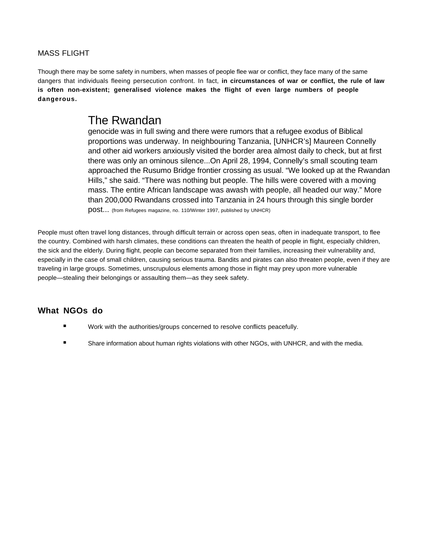#### <span id="page-18-0"></span>MASS FLIGHT

Though there may be some safety in numbers, when masses of people flee war or conflict, they face many of the same dangers that individuals fleeing persecution confront. In fact, **in circumstances of war or conflict, the rule of law is often non-existent; generalised violence makes the flight of even large numbers of people dangerous.**

## The Rwandan

genocide was in full swing and there were rumors that a refugee exodus of Biblical proportions was underway. In neighbouring Tanzania, [UNHCR's] Maureen Connelly and other aid workers anxiously visited the border area almost daily to check, but at first there was only an ominous silence...On April 28, 1994, Connelly's small scouting team approached the Rusumo Bridge frontier crossing as usual. "We looked up at the Rwandan Hills," she said. "There was nothing but people. The hills were covered with a moving mass. The entire African landscape was awash with people, all headed our way." More than 200,000 Rwandans crossed into Tanzania in 24 hours through this single border post... (from Refugees magazine, no. 110/Winter 1997, published by UNHCR)

People must often travel long distances, through difficult terrain or across open seas, often in inadequate transport, to flee the country. Combined with harsh climates, these conditions can threaten the health of people in flight, especially children, the sick and the elderly. During flight, people can become separated from their families, increasing their vulnerability and, especially in the case of small children, causing serious trauma. Bandits and pirates can also threaten people, even if they are traveling in large groups. Sometimes, unscrupulous elements among those in flight may prey upon more vulnerable people—stealing their belongings or assaulting them—as they seek safety.

#### **What NGOs do**

- Work with the authorities/groups concerned to resolve conflicts peacefully.
- Share information about human rights violations with other NGOs, with UNHCR, and with the media.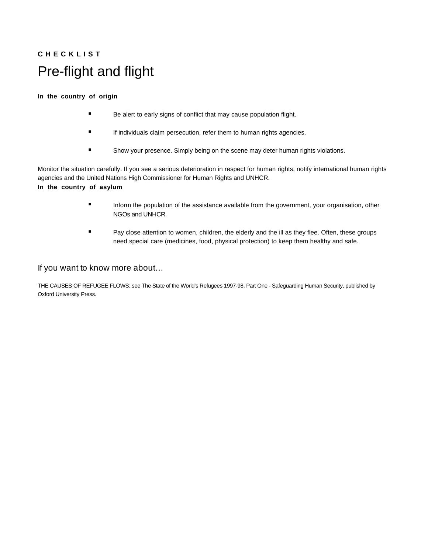# <span id="page-19-0"></span>**C H E C K L I S T** Pre-flight and flight

#### **In the country of origin**

- **Be alert to early signs of conflict that may cause population flight.**
- **If individuals claim persecution, refer them to human rights agencies.**
- Show your presence. Simply being on the scene may deter human rights violations.

Monitor the situation carefully. If you see a serious deterioration in respect for human rights, notify international human rights agencies and the United Nations High Commissioner for Human Rights and UNHCR. **In the country of asylum**

- **Inform the population of the assistance available from the government, your organisation, other** NGOs and UNHCR.
- Pay close attention to women, children, the elderly and the ill as they flee. Often, these groups need special care (medicines, food, physical protection) to keep them healthy and safe.

#### If you want to know more about…

THE CAUSES OF REFUGEE FLOWS: see The State of the World's Refugees 1997-98, Part One - Safeguarding Human Security, published by Oxford University Press.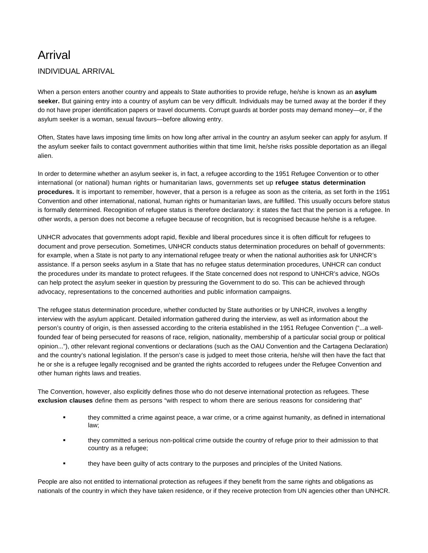# <span id="page-20-0"></span>Arrival

#### INDIVIDUAL ARRIVAL

When a person enters another country and appeals to State authorities to provide refuge, he/she is known as an **asylum seeker.** But gaining entry into a country of asylum can be very difficult. Individuals may be turned away at the border if they do not have proper identification papers or travel documents. Corrupt guards at border posts may demand money—or, if the asylum seeker is a woman, sexual favours—before allowing entry.

Often, States have laws imposing time limits on how long after arrival in the country an asylum seeker can apply for asylum. If the asylum seeker fails to contact government authorities within that time limit, he/she risks possible deportation as an illegal alien.

In order to determine whether an asylum seeker is, in fact, a refugee according to the 1951 Refugee Convention or to other international (or national) human rights or humanitarian laws, governments set up **refugee status determination procedures.** It is important to remember, however, that a person is a refugee as soon as the criteria, as set forth in the 1951 Convention and other international, national, human rights or humanitarian laws, are fulfilled. This usually occurs before status is formally determined. Recognition of refugee status is therefore declaratory: it states the fact that the person is a refugee. In other words, a person does not become a refugee because of recognition, but is recognised because he/she is a refugee.

UNHCR advocates that governments adopt rapid, flexible and liberal procedures since it is often difficult for refugees to document and prove persecution. Sometimes, UNHCR conducts status determination procedures on behalf of governments: for example, when a State is not party to any international refugee treaty or when the national authorities ask for UNHCR's assistance. If a person seeks asylum in a State that has no refugee status determination procedures, UNHCR can conduct the procedures under its mandate to protect refugees. If the State concerned does not respond to UNHCR's advice, NGOs can help protect the asylum seeker in question by pressuring the Government to do so. This can be achieved through advocacy, representations to the concerned authorities and public information campaigns.

The refugee status determination procedure, whether conducted by State authorities or by UNHCR, involves a lengthy interview with the asylum applicant. Detailed information gathered during the interview, as well as information about the person's country of origin, is then assessed according to the criteria established in the 1951 Refugee Convention ("...a wellfounded fear of being persecuted for reasons of race, religion, nationality, membership of a particular social group or political opinion..."), other relevant regional conventions or declarations (such as the OAU Convention and the Cartagena Declaration) and the country's national legislation. If the person's case is judged to meet those criteria, he/she will then have the fact that he or she is a refugee legally recognised and be granted the rights accorded to refugees under the Refugee Convention and other human rights laws and treaties.

The Convention, however, also explicitly defines those who do not deserve international protection as refugees. These **exclusion clauses** define them as persons "with respect to whom there are serious reasons for considering that"

- they committed a crime against peace, a war crime, or a crime against humanity, as defined in international law;
- they committed a serious non-political crime outside the country of refuge prior to their admission to that country as a refugee;
- they have been guilty of acts contrary to the purposes and principles of the United Nations.

People are also not entitled to international protection as refugees if they benefit from the same rights and obligations as nationals of the country in which they have taken residence, or if they receive protection from UN agencies other than UNHCR.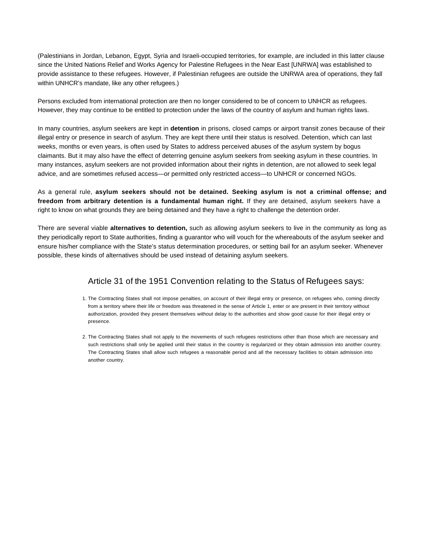(Palestinians in Jordan, Lebanon, Egypt, Syria and Israeli-occupied territories, for example, are included in this latter clause since the United Nations Relief and Works Agency for Palestine Refugees in the Near East [UNRWA] was established to provide assistance to these refugees. However, if Palestinian refugees are outside the UNRWA area of operations, they fall within UNHCR's mandate, like any other refugees.)

Persons excluded from international protection are then no longer considered to be of concern to UNHCR as refugees. However, they may continue to be entitled to protection under the laws of the country of asylum and human rights laws.

In many countries, asylum seekers are kept in **detention** in prisons, closed camps or airport transit zones because of their illegal entry or presence in search of asylum. They are kept there until their status is resolved. Detention, which can last weeks, months or even years, is often used by States to address perceived abuses of the asylum system by bogus claimants. But it may also have the effect of deterring genuine asylum seekers from seeking asylum in these countries. In many instances, asylum seekers are not provided information about their rights in detention, are not allowed to seek legal advice, and are sometimes refused access—or permitted only restricted access—to UNHCR or concerned NGOs.

As a general rule, **asylum seekers should not be detained. Seeking asylum is not a criminal offense; and freedom from arbitrary detention is a fundamental human right.** If they are detained, asylum seekers have a right to know on what grounds they are being detained and they have a right to challenge the detention order.

There are several viable **alternatives to detention,** such as allowing asylum seekers to live in the community as long as they periodically report to State authorities, finding a guarantor who will vouch for the whereabouts of the asylum seeker and ensure his/her compliance with the State's status determination procedures, or setting bail for an asylum seeker. Whenever possible, these kinds of alternatives should be used instead of detaining asylum seekers.

#### Article 31 of the 1951 Convention relating to the Status of Refugees says:

- 1. The Contracting States shall not impose penalties, on account of their illegal entry or presence, on refugees who, coming directly from a territory where their life or freedom was threatened in the sense of Article 1, enter or are present in their territory without authorization, provided they present themselves without delay to the authorities and show good cause for their illegal entry or presence.
- 2. The Contracting States shall not apply to the movements of such refugees restrictions other than those which are necessary and such restrictions shall only be applied until their status in the country is regularized or they obtain admission into another country. The Contracting States shall allow such refugees a reasonable period and all the necessary facilities to obtain admission into another country.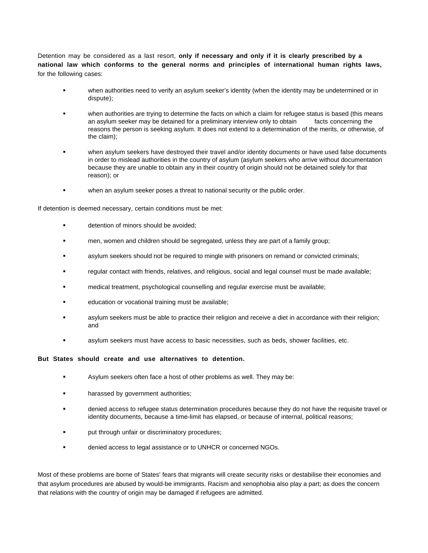Detention may be considered as a last resort, **only if necessary and only if it is clearly prescribed by a national law which conforms to the general norms and principles of international human rights laws,** for the following cases:

- when authorities need to verify an asylum seeker's identity (when the identity may be undetermined or in dispute);
- when authorities are trying to determine the facts on which a claim for refugee status is based (this means an asylum seeker may be detained for a preliminary interview only to obtain facts concerning the reasons the person is seeking asylum. It does not extend to a determination of the merits, or otherwise, of the claim);
- when asylum seekers have destroyed their travel and/or identity documents or have used false documents in order to mislead authorities in the country of asylum (asylum seekers who arrive without documentation because they are unable to obtain any in their country of origin should not be detained solely for that reason); or
- when an asylum seeker poses a threat to national security or the public order.

If detention is deemed necessary, certain conditions must be met:

- **detention of minors should be avoided;**
- men, women and children should be segregated, unless they are part of a family group;
- **Example 2** asylum seekers should not be required to mingle with prisoners on remand or convicted criminals;
- regular contact with friends, relatives, and religious, social and legal counsel must be made available;
- medical treatment, psychological counselling and regular exercise must be available;
- education or vocational training must be available;
- asylum seekers must be able to practice their religion and receive a diet in accordance with their religion; and
- asylum seekers must have access to basic necessities, such as beds, shower facilities, etc.

#### **But States should create and use alternatives to detention.**

- Asylum seekers often face a host of other problems as well. They may be:
- harassed by government authorities;
- denied access to refugee status determination procedures because they do not have the requisite travel or identity documents, because a time-limit has elapsed, or because of internal, political reasons;
- **Part is through unfair or discriminatory procedures;**
- denied access to legal assistance or to UNHCR or concerned NGOs.

Most of these problems are borne of States' fears that migrants will create security risks or destabilise their economies and that asylum procedures are abused by would-be immigrants. Racism and xenophobia also play a part; as does the concern that relations with the country of origin may be damaged if refugees are admitted.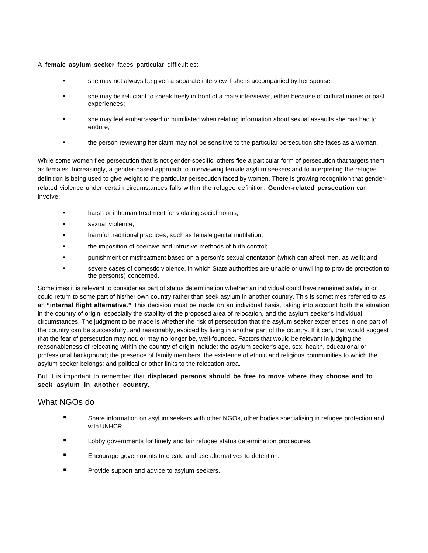#### A **female asylum seeker** faces particular difficulties:

- she may not always be given a separate interview if she is accompanied by her spouse;
- she may be reluctant to speak freely in front of a male interviewer, either because of cultural mores or past experiences;
- she may feel embarrassed or humiliated when relating information about sexual assaults she has had to endure;
- the person reviewing her claim may not be sensitive to the particular persecution she faces as a woman.

While some women flee persecution that is not gender-specific, others flee a particular form of persecution that targets them as females. Increasingly, a gender-based approach to interviewing female asylum seekers and to interpreting the refugee definition is being used to give weight to the particular persecution faced by women. There is growing recognition that genderrelated violence under certain circumstances falls within the refugee definition. **Gender-related persecution** can involve:

- harsh or inhuman treatment for violating social norms;
- sexual violence;
- harmful traditional practices, such as female genital mutilation;
- **the imposition of coercive and intrusive methods of birth control;**
- punishment or mistreatment based on a person's sexual orientation (which can affect men, as well); and
- severe cases of domestic violence, in which State authorities are unable or unwilling to provide protection to the person(s) concerned.

Sometimes it is relevant to consider as part of status determination whether an individual could have remained safely in or could return to some part of his/her own country rather than seek asylum in another country. This is sometimes referred to as an **"internal flight alternative."** This decision must be made on an individual basis, taking into account both the situation in the country of origin, especially the stability of the proposed area of relocation, and the asylum seeker's individual circumstances. The judgment to be made is whether the risk of persecution that the asylum seeker experiences in one part of the country can be successfully, and reasonably, avoided by living in another part of the country. If it can, that would suggest that the fear of persecution may not, or may no longer be, well-founded. Factors that would be relevant in judging the reasonableness of relocating within the country of origin include: the asylum seeker's age, sex, health, educational or professional background; the presence of family members; the existence of ethnic and religious communities to which the asylum seeker belongs; and political or other links to the relocation area.

But it is important to remember that **displaced persons should be free to move where they choose and to seek asylum in another country.**

#### What NGOs do

- Share information on asylum seekers with other NGOs, other bodies specialising in refugee protection and with UNHCR.
- Lobby governments for timely and fair refugee status determination procedures.
- Encourage governments to create and use alternatives to detention.
- Provide support and advice to asylum seekers.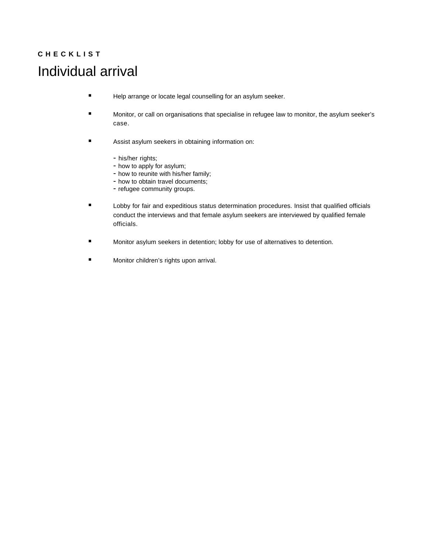# <span id="page-24-0"></span>**C H E C K L I S T** Individual arrival

- Help arrange or locate legal counselling for an asylum seeker.
- **Monitor, or call on organisations that specialise in refugee law to monitor, the asylum seeker's** case.
- **EXECUTE:** Assist asylum seekers in obtaining information on:
	- his/her rights;
	- how to apply for asylum;
	- how to reunite with his/her family;
	- how to obtain travel documents;
	- refugee community groups.
- Lobby for fair and expeditious status determination procedures. Insist that qualified officials conduct the interviews and that female asylum seekers are interviewed by qualified female officials.
- Monitor asylum seekers in detention; lobby for use of alternatives to detention.
- **Monitor children's rights upon arrival.**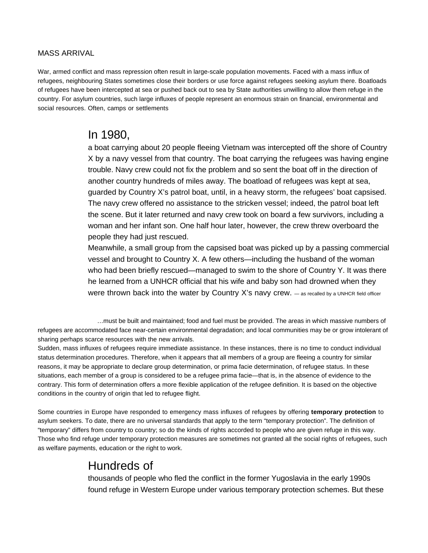#### <span id="page-25-0"></span>MASS ARRIVAL

War, armed conflict and mass repression often result in large-scale population movements. Faced with a mass influx of refugees, neighbouring States sometimes close their borders or use force against refugees seeking asylum there. Boatloads of refugees have been intercepted at sea or pushed back out to sea by State authorities unwilling to allow them refuge in the country. For asylum countries, such large influxes of people represent an enormous strain on financial, environmental and social resources. Often, camps or settlements

## In 1980,

a boat carrying about 20 people fleeing Vietnam was intercepted off the shore of Country X by a navy vessel from that country. The boat carrying the refugees was having engine trouble. Navy crew could not fix the problem and so sent the boat off in the direction of another country hundreds of miles away. The boatload of refugees was kept at sea, guarded by Country X's patrol boat, until, in a heavy storm, the refugees' boat capsised. The navy crew offered no assistance to the stricken vessel; indeed, the patrol boat left the scene. But it later returned and navy crew took on board a few survivors, including a woman and her infant son. One half hour later, however, the crew threw overboard the people they had just rescued.

Meanwhile, a small group from the capsised boat was picked up by a passing commercial vessel and brought to Country X. A few others—including the husband of the woman who had been briefly rescued—managed to swim to the shore of Country Y. It was there he learned from a UNHCR official that his wife and baby son had drowned when they were thrown back into the water by Country X's navy crew.  $-$  as recalled by a UNHCR field officer

…must be built and maintained; food and fuel must be provided. The areas in which massive numbers of refugees are accommodated face near-certain environmental degradation; and local communities may be or grow intolerant of sharing perhaps scarce resources with the new arrivals.

Sudden, mass influxes of refugees require immediate assistance. In these instances, there is no time to conduct individual status determination procedures. Therefore, when it appears that all members of a group are fleeing a country for similar reasons, it may be appropriate to declare group determination, or prima facie determination, of refugee status. In these situations, each member of a group is considered to be a refugee prima facie—that is, in the absence of evidence to the contrary. This form of determination offers a more flexible application of the refugee definition. It is based on the objective conditions in the country of origin that led to refugee flight.

Some countries in Europe have responded to emergency mass influxes of refugees by offering **temporary protection** to asylum seekers. To date, there are no universal standards that apply to the term "temporary protection". The definition of "temporary" differs from country to country; so do the kinds of rights accorded to people who are given refuge in this way. Those who find refuge under temporary protection measures are sometimes not granted all the social rights of refugees, such as welfare payments, education or the right to work.

# Hundreds of

thousands of people who fled the conflict in the former Yugoslavia in the early 1990s found refuge in Western Europe under various temporary protection schemes. But these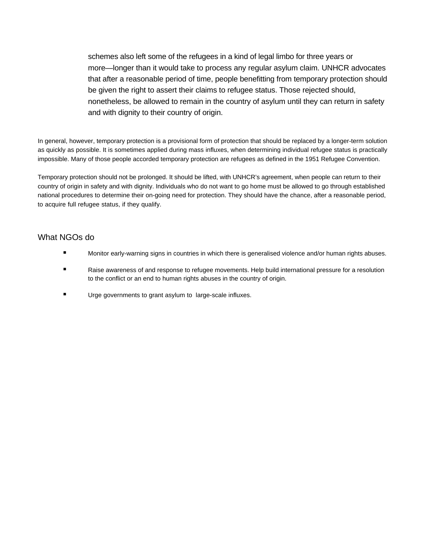schemes also left some of the refugees in a kind of legal limbo for three years or more—longer than it would take to process any regular asylum claim. UNHCR advocates that after a reasonable period of time, people benefitting from temporary protection should be given the right to assert their claims to refugee status. Those rejected should, nonetheless, be allowed to remain in the country of asylum until they can return in safety and with dignity to their country of origin.

In general, however, temporary protection is a provisional form of protection that should be replaced by a longer-term solution as quickly as possible. It is sometimes applied during mass influxes, when determining individual refugee status is practically impossible. Many of those people accorded temporary protection are refugees as defined in the 1951 Refugee Convention.

Temporary protection should not be prolonged. It should be lifted, with UNHCR's agreement, when people can return to their country of origin in safety and with dignity. Individuals who do not want to go home must be allowed to go through established national procedures to determine their on-going need for protection. They should have the chance, after a reasonable period, to acquire full refugee status, if they qualify.

#### What NGOs do

- Monitor early-warning signs in countries in which there is generalised violence and/or human rights abuses.
- Raise awareness of and response to refugee movements. Help build international pressure for a resolution to the conflict or an end to human rights abuses in the country of origin.
- **Urge governments to grant asylum to large-scale influxes.**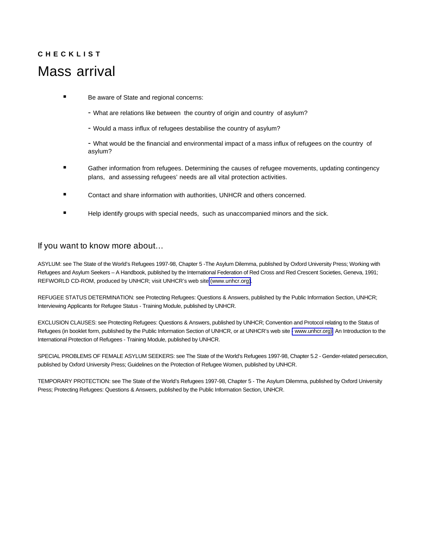# <span id="page-27-0"></span>**C H E C K L I S T** Mass arrival

- Be aware of State and regional concerns:
	- What are relations like between the country of origin and country of asylum?
	- Would a mass influx of refugees destabilise the country of asylum?

- What would be the financial and environmental impact of a mass influx of refugees on the country of asylum?

- **E** Gather information from refugees. Determining the causes of refugee movements, updating contingency plans, and assessing refugees' needs are all vital protection activities.
- Contact and share information with authorities, UNHCR and others concerned.
- Help identify groups with special needs, such as unaccompanied minors and the sick.

#### If you want to know more about…

ASYLUM: see The State of the World's Refugees 1997-98, Chapter 5 -The Asylum Dilemma, published by Oxford University Press; Working with Refugees and Asylum Seekers – A Handbook, published by the International Federation of Red Cross and Red Crescent Societies, Geneva, 1991; REFWORLD CD-ROM, produced by UNHCR; visit UNHCR's web site [\(www.unhcr.](http://www.unhcr.org)org).

REFUGEE STATUS DETERMINATION: see Protecting Refugees: Questions & Answers, published by the Public Information Section, UNHCR; Interviewing Applicants for Refugee Status - Training Module, published by UNHCR.

EXCLUSION CLAUSES: see Protecting Refugees: Questions & Answers, published by UNHCR; Convention and Protocol relating to the Status of Refugees (in booklet form, published by the Public Information Section of UNHCR, or at UNHCR's web site [- www.unhcr.](http://www.unhcr.org)org); An Introduction to the International Protection of Refugees - Training Module, published by UNHCR.

SPECIAL PROBLEMS OF FEMALE ASYLUM SEEKERS: see The State of the World's Refugees 1997-98, Chapter 5.2 - Gender-related persecution, published by Oxford University Press; Guidelines on the Protection of Refugee Women, published by UNHCR.

TEMPORARY PROTECTION: see The State of the World's Refugees 1997-98, Chapter 5 - The Asylum Dilemma, published by Oxford University Press; Protecting Refugees: Questions & Answers, published by the Public Information Section, UNHCR.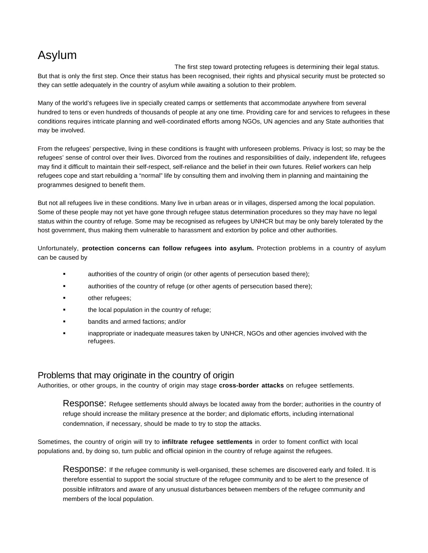# <span id="page-28-0"></span>Asylum

The first step toward protecting refugees is determining their legal status. But that is only the first step. Once their status has been recognised, their rights and physical security must be protected so they can settle adequately in the country of asylum while awaiting a solution to their problem.

Many of the world's refugees live in specially created camps or settlements that accommodate anywhere from several hundred to tens or even hundreds of thousands of people at any one time. Providing care for and services to refugees in these conditions requires intricate planning and well-coordinated efforts among NGOs, UN agencies and any State authorities that may be involved.

From the refugees' perspective, living in these conditions is fraught with unforeseen problems. Privacy is lost; so may be the refugees' sense of control over their lives. Divorced from the routines and responsibilities of daily, independent life, refugees may find it difficult to maintain their self-respect, self-reliance and the belief in their own futures. Relief workers can help refugees cope and start rebuilding a "normal" life by consulting them and involving them in planning and maintaining the programmes designed to benefit them.

But not all refugees live in these conditions. Many live in urban areas or in villages, dispersed among the local population. Some of these people may not yet have gone through refugee status determination procedures so they may have no legal status within the country of refuge. Some may be recognised as refugees by UNHCR but may be only barely tolerated by the host government, thus making them vulnerable to harassment and extortion by police and other authorities.

Unfortunately, **protection concerns can follow refugees into asylum.** Protection problems in a country of asylum can be caused by

- authorities of the country of origin (or other agents of persecution based there);
- authorities of the country of refuge (or other agents of persecution based there);
- other refugees;
- the local population in the country of refuge;
- **bandits and armed factions; and/or**
- inappropriate or inadequate measures taken by UNHCR, NGOs and other agencies involved with the refugees.

#### Problems that may originate in the country of origin

Authorities, or other groups, in the country of origin may stage **cross-border attacks** on refugee settlements.

Response: Refugee settlements should always be located away from the border; authorities in the country of refuge should increase the military presence at the border; and diplomatic efforts, including international condemnation, if necessary, should be made to try to stop the attacks.

Sometimes, the country of origin will try to **infiltrate refugee settlements** in order to foment conflict with local populations and, by doing so, turn public and official opinion in the country of refuge against the refugees.

Response: If the refugee community is well-organised, these schemes are discovered early and foiled. It is therefore essential to support the social structure of the refugee community and to be alert to the presence of possible infiltrators and aware of any unusual disturbances between members of the refugee community and members of the local population.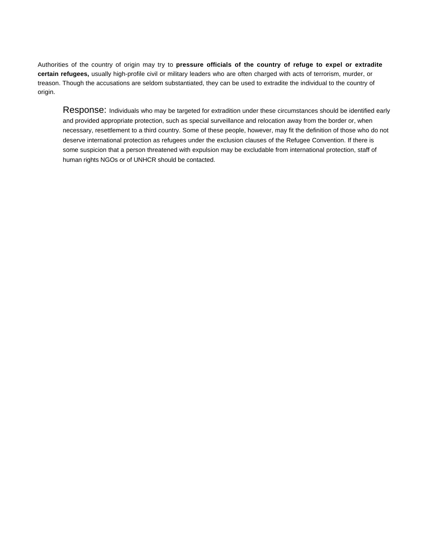Authorities of the country of origin may try to **pressure officials of the country of refuge to expel or extradite certain refugees,** usually high-profile civil or military leaders who are often charged with acts of terrorism, murder, or treason. Though the accusations are seldom substantiated, they can be used to extradite the individual to the country of origin.

Response: Individuals who may be targeted for extradition under these circumstances should be identified early and provided appropriate protection, such as special surveillance and relocation away from the border or, when necessary, resettlement to a third country. Some of these people, however, may fit the definition of those who do not deserve international protection as refugees under the exclusion clauses of the Refugee Convention. If there is some suspicion that a person threatened with expulsion may be excludable from international protection, staff of human rights NGOs or of UNHCR should be contacted.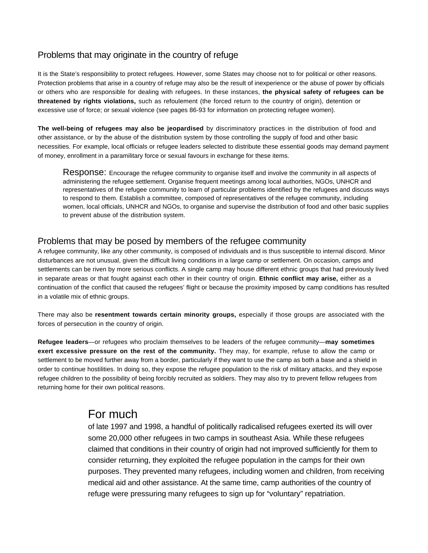#### Problems that may originate in the country of refuge

It is the State's responsibility to protect refugees. However, some States may choose not to for political or other reasons. Protection problems that arise in a country of refuge may also be the result of inexperience or the abuse of power by officials or others who are responsible for dealing with refugees. In these instances, **the physical safety of refugees can be threatened by rights violations,** such as refoulement (the forced return to the country of origin), detention or excessive use of force; or sexual violence (see pages 86-93 for information on protecting refugee women).

**The well-being of refugees may also be jeopardised** by discriminatory practices in the distribution of food and other assistance, or by the abuse of the distribution system by those controlling the supply of food and other basic necessities. For example, local officials or refugee leaders selected to distribute these essential goods may demand payment of money, enrollment in a paramilitary force or sexual favours in exchange for these items.

Response: Encourage the refugee community to organise itself and involve the community in all aspects of administering the refugee settlement. Organise frequent meetings among local authorities, NGOs, UNHCR and representatives of the refugee community to learn of particular problems identified by the refugees and discuss ways to respond to them. Establish a committee, composed of representatives of the refugee community, including women, local officials, UNHCR and NGOs, to organise and supervise the distribution of food and other basic supplies to prevent abuse of the distribution system.

#### Problems that may be posed by members of the refugee community

A refugee community, like any other community, is composed of individuals and is thus susceptible to internal discord. Minor disturbances are not unusual, given the difficult living conditions in a large camp or settlement. On occasion, camps and settlements can be riven by more serious conflicts. A single camp may house different ethnic groups that had previously lived in separate areas or that fought against each other in their country of origin. **Ethnic conflict may arise,** either as a continuation of the conflict that caused the refugees' flight or because the proximity imposed by camp conditions has resulted in a volatile mix of ethnic groups.

There may also be **resentment towards certain minority groups,** especially if those groups are associated with the forces of persecution in the country of origin.

**Refugee leaders**—or refugees who proclaim themselves to be leaders of the refugee community—**may sometimes exert excessive pressure on the rest of the community.** They may, for example, refuse to allow the camp or settlement to be moved further away from a border, particularly if they want to use the camp as both a base and a shield in order to continue hostilities. In doing so, they expose the refugee population to the risk of military attacks, and they expose refugee children to the possibility of being forcibly recruited as soldiers. They may also try to prevent fellow refugees from returning home for their own political reasons.

## For much

of late 1997 and 1998, a handful of politically radicalised refugees exerted its will over some 20,000 other refugees in two camps in southeast Asia. While these refugees claimed that conditions in their country of origin had not improved sufficiently for them to consider returning, they exploited the refugee population in the camps for their own purposes. They prevented many refugees, including women and children, from receiving medical aid and other assistance. At the same time, camp authorities of the country of refuge were pressuring many refugees to sign up for "voluntary" repatriation.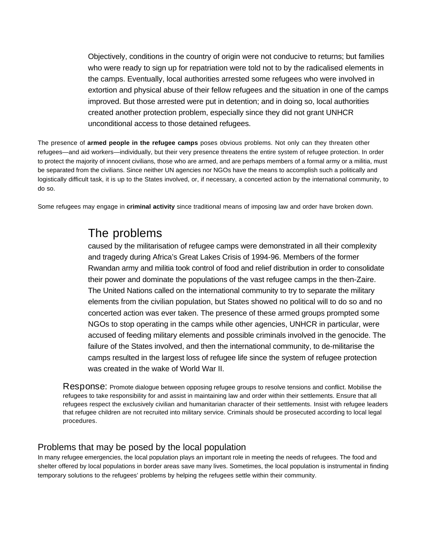Objectively, conditions in the country of origin were not conducive to returns; but families who were ready to sign up for repatriation were told not to by the radicalised elements in the camps. Eventually, local authorities arrested some refugees who were involved in extortion and physical abuse of their fellow refugees and the situation in one of the camps improved. But those arrested were put in detention; and in doing so, local authorities created another protection problem, especially since they did not grant UNHCR unconditional access to those detained refugees.

The presence of **armed people in the refugee camps** poses obvious problems. Not only can they threaten other refugees—and aid workers—individually, but their very presence threatens the entire system of refugee protection. In order to protect the majority of innocent civilians, those who are armed, and are perhaps members of a formal army or a militia, must be separated from the civilians. Since neither UN agencies nor NGOs have the means to accomplish such a politically and logistically difficult task, it is up to the States involved, or, if necessary, a concerted action by the international community, to do so.

Some refugees may engage in **criminal activity** since traditional means of imposing law and order have broken down.

# The problems

caused by the militarisation of refugee camps were demonstrated in all their complexity and tragedy during Africa's Great Lakes Crisis of 1994-96. Members of the former Rwandan army and militia took control of food and relief distribution in order to consolidate their power and dominate the populations of the vast refugee camps in the then-Zaire. The United Nations called on the international community to try to separate the military elements from the civilian population, but States showed no political will to do so and no concerted action was ever taken. The presence of these armed groups prompted some NGOs to stop operating in the camps while other agencies, UNHCR in particular, were accused of feeding military elements and possible criminals involved in the genocide. The failure of the States involved, and then the international community, to de-militarise the camps resulted in the largest loss of refugee life since the system of refugee protection was created in the wake of World War II.

Response: Promote dialogue between opposing refugee groups to resolve tensions and conflict. Mobilise the refugees to take responsibility for and assist in maintaining law and order within their settlements. Ensure that all refugees respect the exclusively civilian and humanitarian character of their settlements. Insist with refugee leaders that refugee children are not recruited into military service. Criminals should be prosecuted according to local legal procedures.

#### Problems that may be posed by the local population

In many refugee emergencies, the local population plays an important role in meeting the needs of refugees. The food and shelter offered by local populations in border areas save many lives. Sometimes, the local population is instrumental in finding temporary solutions to the refugees' problems by helping the refugees settle within their community.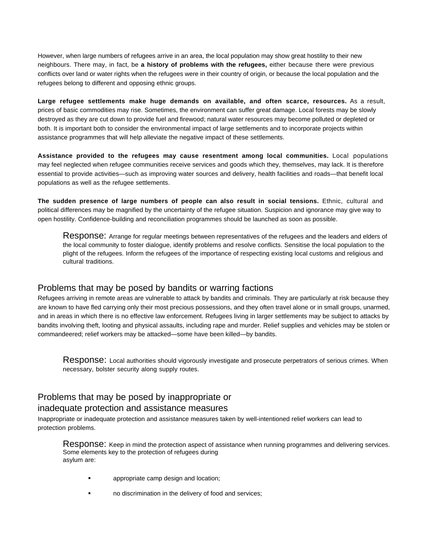However, when large numbers of refugees arrive in an area, the local population may show great hostility to their new neighbours. There may, in fact, be **a history of problems with the refugees,** either because there were previous conflicts over land or water rights when the refugees were in their country of origin, or because the local population and the refugees belong to different and opposing ethnic groups.

**Large refugee settlements make huge demands on available, and often scarce, resources.** As a result, prices of basic commodities may rise. Sometimes, the environment can suffer great damage. Local forests may be slowly destroyed as they are cut down to provide fuel and firewood; natural water resources may become polluted or depleted or both. It is important both to consider the environmental impact of large settlements and to incorporate projects within assistance programmes that will help alleviate the negative impact of these settlements.

**Assistance provided to the refugees may cause resentment among local communities.** Local populations may feel neglected when refugee communities receive services and goods which they, themselves, may lack. It is therefore essential to provide activities—such as improving water sources and delivery, health facilities and roads—that benefit local populations as well as the refugee settlements.

**The sudden presence of large numbers of people can also result in social tensions.** Ethnic, cultural and political differences may be magnified by the uncertainty of the refugee situation. Suspicion and ignorance may give way to open hostility. Confidence-building and reconciliation programmes should be launched as soon as possible.

Response: Arrange for regular meetings between representatives of the refugees and the leaders and elders of the local community to foster dialogue, identify problems and resolve conflicts. Sensitise the local population to the plight of the refugees. Inform the refugees of the importance of respecting existing local customs and religious and cultural traditions.

#### Problems that may be posed by bandits or warring factions

Refugees arriving in remote areas are vulnerable to attack by bandits and criminals. They are particularly at risk because they are known to have fled carrying only their most precious possessions, and they often travel alone or in small groups, unarmed, and in areas in which there is no effective law enforcement. Refugees living in larger settlements may be subject to attacks by bandits involving theft, looting and physical assaults, including rape and murder. Relief supplies and vehicles may be stolen or commandeered; relief workers may be attacked—some have been killed—by bandits.

Response: Local authorities should vigorously investigate and prosecute perpetrators of serious crimes. When necessary, bolster security along supply routes.

#### Problems that may be posed by inappropriate or inadequate protection and assistance measures

Inappropriate or inadequate protection and assistance measures taken by well-intentioned relief workers can lead to protection problems.

Response: Keep in mind the protection aspect of assistance when running programmes and delivering services. Some elements key to the protection of refugees during asylum are:

- **Example 3** appropriate camp design and location;
- no discrimination in the delivery of food and services;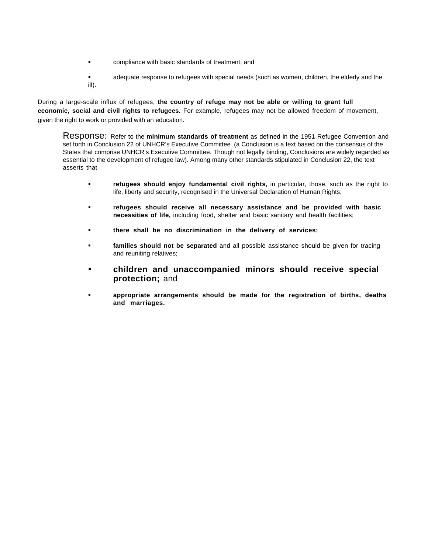- compliance with basic standards of treatment; and
- adequate response to refugees with special needs (such as women, children, the elderly and the ill).

During a large-scale influx of refugees, **the country of refuge may not be able or willing to grant full economic, social and civil rights to refugees.** For example, refugees may not be allowed freedom of movement, given the right to work or provided with an education.

Response: Refer to the **minimum standards of treatment** as defined in the 1951 Refugee Convention and set forth in Conclusion 22 of UNHCR's Executive Committee (a Conclusion is a text based on the consensus of the States that comprise UNHCR's Executive Committee. Though not legally binding, Conclusions are widely regarded as essential to the development of refugee law). Among many other standards stipulated in Conclusion 22, the text asserts that

- **refugees should enjoy fundamental civil rights,** in particular, those, such as the right to life, liberty and security, recognised in the Universal Declaration of Human Rights;
- **refugees should receive all necessary assistance and be provided with basic necessities of life,** including food, shelter and basic sanitary and health facilities;
- **there shall be no discrimination in the delivery of services;**
- **families should not be separated** and all possible assistance should be given for tracing and reuniting relatives;
- **children and unaccompanied minors should receive special protection;** and
- **appropriate arrangements should be made for the registration of births, deaths and marriages.**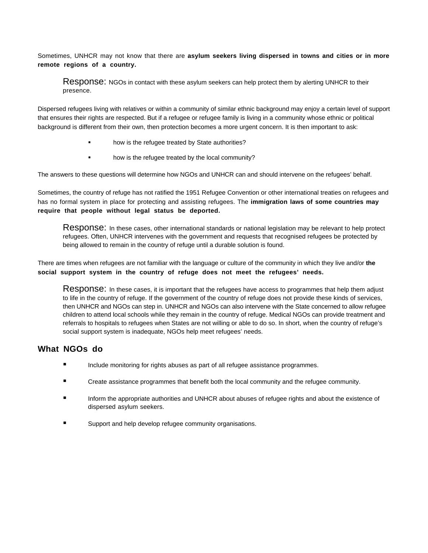Sometimes, UNHCR may not know that there are **asylum seekers living dispersed in towns and cities or in more remote regions of a country.**

Response: NGOs in contact with these asylum seekers can help protect them by alerting UNHCR to their presence.

Dispersed refugees living with relatives or within a community of similar ethnic background may enjoy a certain level of support that ensures their rights are respected. But if a refugee or refugee family is living in a community whose ethnic or political background is different from their own, then protection becomes a more urgent concern. It is then important to ask:

- how is the refugee treated by State authorities?
- how is the refugee treated by the local community?

The answers to these questions will determine how NGOs and UNHCR can and should intervene on the refugees' behalf.

Sometimes, the country of refuge has not ratified the 1951 Refugee Convention or other international treaties on refugees and has no formal system in place for protecting and assisting refugees. The **immigration laws of some countries may require that people without legal status be deported.**

Response: In these cases, other international standards or national legislation may be relevant to help protect refugees. Often, UNHCR intervenes with the government and requests that recognised refugees be protected by being allowed to remain in the country of refuge until a durable solution is found.

There are times when refugees are not familiar with the language or culture of the community in which they live and/or **the social support system in the country of refuge does not meet the refugees' needs.**

Response: In these cases, it is important that the refugees have access to programmes that help them adjust to life in the country of refuge. If the government of the country of refuge does not provide these kinds of services, then UNHCR and NGOs can step in. UNHCR and NGOs can also intervene with the State concerned to allow refugee children to attend local schools while they remain in the country of refuge. Medical NGOs can provide treatment and referrals to hospitals to refugees when States are not willing or able to do so. In short, when the country of refuge's social support system is inadequate, NGOs help meet refugees' needs.

#### **What NGOs do**

- Include monitoring for rights abuses as part of all refugee assistance programmes.
- Create assistance programmes that benefit both the local community and the refugee community.
- Inform the appropriate authorities and UNHCR about abuses of refugee rights and about the existence of dispersed asylum seekers.
- Support and help develop refugee community organisations.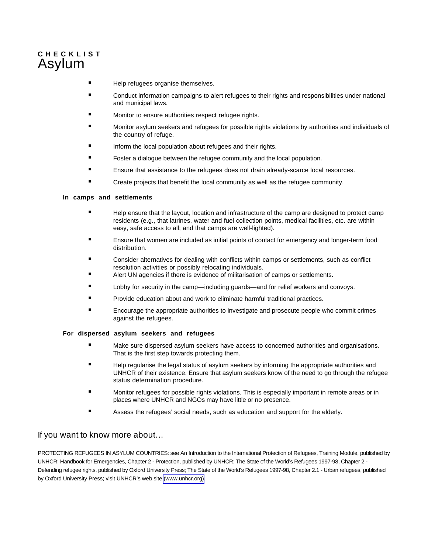## <span id="page-35-0"></span>**C H E C K L I S T** Asylum

- Help refugees organise themselves.
- **E** Conduct information campaigns to alert refugees to their rights and responsibilities under national and municipal laws.
- Monitor to ensure authorities respect refugee rights.
- Monitor asylum seekers and refugees for possible rights violations by authorities and individuals of the country of refuge.
- Inform the local population about refugees and their rights.
- Foster a dialogue between the refugee community and the local population.
- Ensure that assistance to the refugees does not drain already-scarce local resources.
- **E** Create projects that benefit the local community as well as the refugee community.

#### **In camps and settlements**

- Help ensure that the layout, location and infrastructure of the camp are designed to protect camp residents (e.g., that latrines, water and fuel collection points, medical facilities, etc. are within easy, safe access to all; and that camps are well-lighted).
- Ensure that women are included as initial points of contact for emergency and longer-term food distribution.
- Consider alternatives for dealing with conflicts within camps or settlements, such as conflict resolution activities or possibly relocating individuals.
- Alert UN agencies if there is evidence of militarisation of camps or settlements.
- Lobby for security in the camp—including guards—and for relief workers and convoys.
- **Provide education about and work to eliminate harmful traditional practices.**
- Encourage the appropriate authorities to investigate and prosecute people who commit crimes against the refugees.

#### **For dispersed asylum seekers and refugees**

- Make sure dispersed asylum seekers have access to concerned authorities and organisations. That is the first step towards protecting them.
- Help regularise the legal status of asylum seekers by informing the appropriate authorities and UNHCR of their existence. Ensure that asylum seekers know of the need to go through the refugee status determination procedure.
- Monitor refugees for possible rights violations. This is especially important in remote areas or in places where UNHCR and NGOs may have little or no presence.
- Assess the refugees' social needs, such as education and support for the elderly.

#### If you want to know more about…

PROTECTING REFUGEES IN ASYLUM COUNTRIES: see An Introduction to the International Protection of Refugees, Training Module, published by UNHCR; Handbook for Emergencies, Chapter 2 - Protection, published by UNHCR; The State of the World's Refugees 1997-98, Chapter 2 - Defending refugee rights, published by Oxford University Press; The State of the World's Refugees 1997-98, Chapter 2.1 - Urban refugees, published by Oxford University Press; visit UNHCR's web site [\(www.unhcr.](http://www.unhcr.org)org).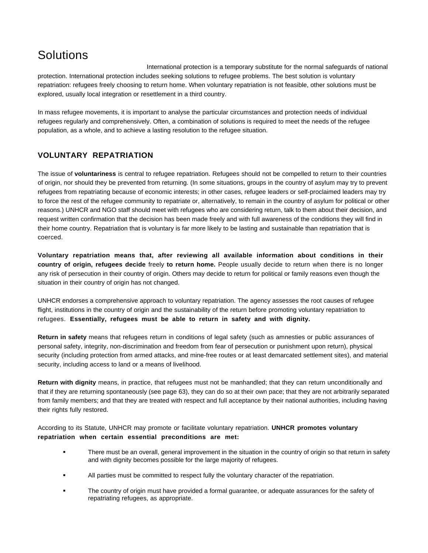# **Solutions**

International protection is a temporary substitute for the normal safeguards of national protection. International protection includes seeking solutions to refugee problems. The best solution is voluntary repatriation: refugees freely choosing to return home. When voluntary repatriation is not feasible, other solutions must be explored, usually local integration or resettlement in a third country.

In mass refugee movements, it is important to analyse the particular circumstances and protection needs of individual refugees regularly and comprehensively. Often, a combination of solutions is required to meet the needs of the refugee population, as a whole, and to achieve a lasting resolution to the refugee situation.

#### **VOLUNTARY REPATRIATION**

The issue of **voluntariness** is central to refugee repatriation. Refugees should not be compelled to return to their countries of origin, nor should they be prevented from returning. (In some situations, groups in the country of asylum may try to prevent refugees from repatriating because of economic interests; in other cases, refugee leaders or self-proclaimed leaders may try to force the rest of the refugee community to repatriate or, alternatively, to remain in the country of asylum for political or other reasons.) UNHCR and NGO staff should meet with refugees who are considering return, talk to them about their decision, and request written confirmation that the decision has been made freely and with full awareness of the conditions they will find in their home country. Repatriation that is voluntary is far more likely to be lasting and sustainable than repatriation that is coerced.

**Voluntary repatriation means that, after reviewing all available information about conditions in their country of origin, refugees decide** freely **to return home.** People usually decide to return when there is no longer any risk of persecution in their country of origin. Others may decide to return for political or family reasons even though the situation in their country of origin has not changed.

UNHCR endorses a comprehensive approach to voluntary repatriation. The agency assesses the root causes of refugee flight, institutions in the country of origin and the sustainability of the return before promoting voluntary repatriation to refugees. **Essentially, refugees must be able to return in safety and with dignity.** 

**Return in safety** means that refugees return in conditions of legal safety (such as amnesties or public assurances of personal safety, integrity, non-discrimination and freedom from fear of persecution or punishment upon return), physical security (including protection from armed attacks, and mine-free routes or at least demarcated settlement sites), and material security, including access to land or a means of livelihood.

**Return with dignity** means, in practice, that refugees must not be manhandled; that they can return unconditionally and that if they are returning spontaneously (see page 63), they can do so at their own pace; that they are not arbitrarily separated from family members; and that they are treated with respect and full acceptance by their national authorities, including having their rights fully restored.

According to its Statute, UNHCR may promote or facilitate voluntary repatriation. **UNHCR promotes voluntary repatriation when certain essential preconditions are met:**

- There must be an overall, general improvement in the situation in the country of origin so that return in safety and with dignity becomes possible for the large majority of refugees.
- All parties must be committed to respect fully the voluntary character of the repatriation.
- The country of origin must have provided a formal guarantee, or adequate assurances for the safety of repatriating refugees, as appropriate.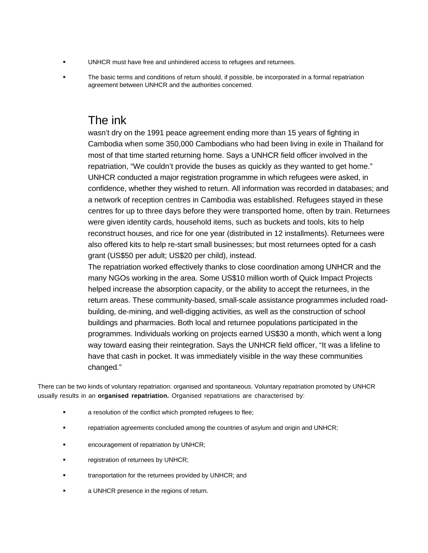- UNHCR must have free and unhindered access to refugees and returnees.
- The basic terms and conditions of return should, if possible, be incorporated in a formal repatriation agreement between UNHCR and the authorities concerned.

## The ink

wasn't dry on the 1991 peace agreement ending more than 15 years of fighting in Cambodia when some 350,000 Cambodians who had been living in exile in Thailand for most of that time started returning home. Says a UNHCR field officer involved in the repatriation, "We couldn't provide the buses as quickly as they wanted to get home." UNHCR conducted a major registration programme in which refugees were asked, in confidence, whether they wished to return. All information was recorded in databases; and a network of reception centres in Cambodia was established. Refugees stayed in these centres for up to three days before they were transported home, often by train. Returnees were given identity cards, household items, such as buckets and tools, kits to help reconstruct houses, and rice for one year (distributed in 12 installments). Returnees were also offered kits to help re-start small businesses; but most returnees opted for a cash grant (US\$50 per adult; US\$20 per child), instead.

The repatriation worked effectively thanks to close coordination among UNHCR and the many NGOs working in the area. Some US\$10 million worth of Quick Impact Projects helped increase the absorption capacity, or the ability to accept the returnees, in the return areas. These community-based, small-scale assistance programmes included roadbuilding, de-mining, and well-digging activities, as well as the construction of school buildings and pharmacies. Both local and returnee populations participated in the programmes. Individuals working on projects earned US\$30 a month, which went a long way toward easing their reintegration. Says the UNHCR field officer, "It was a lifeline to have that cash in pocket. It was immediately visible in the way these communities changed."

There can be two kinds of voluntary repatriation: organised and spontaneous. Voluntary repatriation promoted by UNHCR usually results in an **organised repatriation.** Organised repatriations are characterised by:

- a resolution of the conflict which prompted refugees to flee;
- repatriation agreements concluded among the countries of asylum and origin and UNHCR;
- encouragement of repatriation by UNHCR;
- registration of returnees by UNHCR;
- transportation for the returnees provided by UNHCR; and
- a UNHCR presence in the regions of return.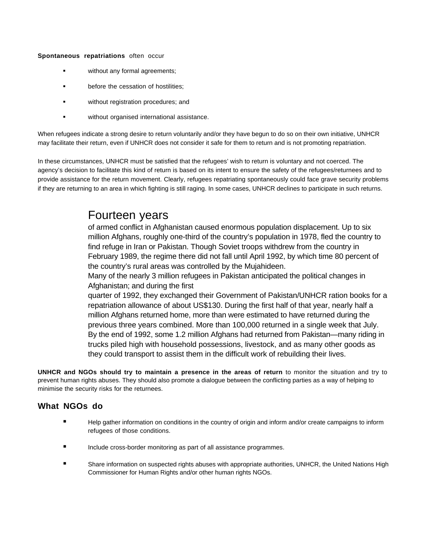**Spontaneous repatriations** often occur

- without any formal agreements;
- before the cessation of hostilities;
- **u** without registration procedures; and
- **without organised international assistance.**

When refugees indicate a strong desire to return voluntarily and/or they have begun to do so on their own initiative, UNHCR may facilitate their return, even if UNHCR does not consider it safe for them to return and is not promoting repatriation.

In these circumstances, UNHCR must be satisfied that the refugees' wish to return is voluntary and not coerced. The agency's decision to facilitate this kind of return is based on its intent to ensure the safety of the refugees/returnees and to provide assistance for the return movement. Clearly, refugees repatriating spontaneously could face grave security problems if they are returning to an area in which fighting is still raging. In some cases, UNHCR declines to participate in such returns.

## Fourteen years

of armed conflict in Afghanistan caused enormous population displacement. Up to six million Afghans, roughly one-third of the country's population in 1978, fled the country to find refuge in Iran or Pakistan. Though Soviet troops withdrew from the country in February 1989, the regime there did not fall until April 1992, by which time 80 percent of the country's rural areas was controlled by the Mujahideen.

Many of the nearly 3 million refugees in Pakistan anticipated the political changes in Afghanistan; and during the first

quarter of 1992, they exchanged their Government of Pakistan/UNHCR ration books for a repatriation allowance of about US\$130. During the first half of that year, nearly half a million Afghans returned home, more than were estimated to have returned during the previous three years combined. More than 100,000 returned in a single week that July. By the end of 1992, some 1.2 million Afghans had returned from Pakistan—many riding in trucks piled high with household possessions, livestock, and as many other goods as they could transport to assist them in the difficult work of rebuilding their lives.

**UNHCR and NGOs should try to maintain a presence in the areas of return** to monitor the situation and try to prevent human rights abuses. They should also promote a dialogue between the conflicting parties as a way of helping to minimise the security risks for the returnees.

- **Help gather information on conditions in the country of origin and inform and/or create campaigns to inform** refugees of those conditions.
- Include cross-border monitoring as part of all assistance programmes.
- **Share information on suspected rights abuses with appropriate authorities, UNHCR, the United Nations High** Commissioner for Human Rights and/or other human rights NGOs.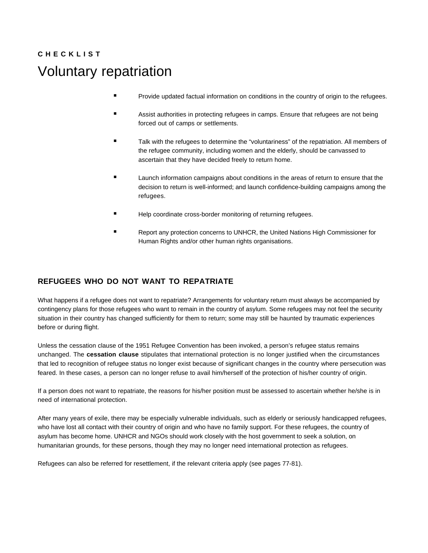# **C H E C K L I S T** Voluntary repatriation

- **Provide updated factual information on conditions in the country of origin to the refugees.**
- **EXECT** Assist authorities in protecting refugees in camps. Ensure that refugees are not being forced out of camps or settlements.
- Talk with the refugees to determine the "voluntariness" of the repatriation. All members of the refugee community, including women and the elderly, should be canvassed to ascertain that they have decided freely to return home.
- Launch information campaigns about conditions in the areas of return to ensure that the decision to return is well-informed; and launch confidence-building campaigns among the refugees.
- Help coordinate cross-border monitoring of returning refugees.
- Report any protection concerns to UNHCR, the United Nations High Commissioner for Human Rights and/or other human rights organisations.

#### **REFUGEES WHO DO NOT WANT TO REPATRIATE**

What happens if a refugee does not want to repatriate? Arrangements for voluntary return must always be accompanied by contingency plans for those refugees who want to remain in the country of asylum. Some refugees may not feel the security situation in their country has changed sufficiently for them to return; some may still be haunted by traumatic experiences before or during flight.

Unless the cessation clause of the 1951 Refugee Convention has been invoked, a person's refugee status remains unchanged. The **cessation clause** stipulates that international protection is no longer justified when the circumstances that led to recognition of refugee status no longer exist because of significant changes in the country where persecution was feared. In these cases, a person can no longer refuse to avail him/herself of the protection of his/her country of origin.

If a person does not want to repatriate, the reasons for his/her position must be assessed to ascertain whether he/she is in need of international protection.

After many years of exile, there may be especially vulnerable individuals, such as elderly or seriously handicapped refugees, who have lost all contact with their country of origin and who have no family support. For these refugees, the country of asylum has become home. UNHCR and NGOs should work closely with the host government to seek a solution, on humanitarian grounds, for these persons, though they may no longer need international protection as refugees.

Refugees can also be referred for resettlement, if the relevant criteria apply (see pages 77-81).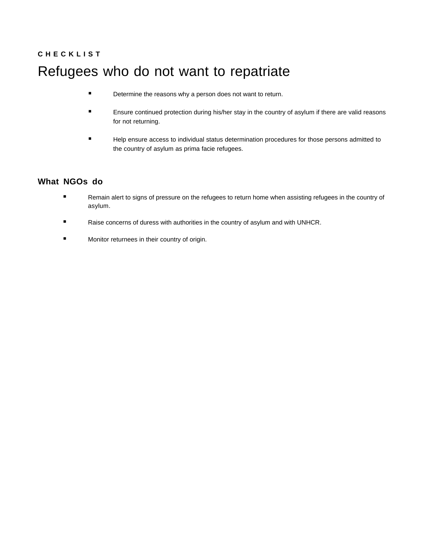# **C H E C K L I S T** Refugees who do not want to repatriate

- **E** Determine the reasons why a person does not want to return.
- Ensure continued protection during his/her stay in the country of asylum if there are valid reasons for not returning.
- **Help ensure access to individual status determination procedures for those persons admitted to** the country of asylum as prima facie refugees.

- **Remain alert to signs of pressure on the refugees to return home when assisting refugees in the country of** asylum.
- Raise concerns of duress with authorities in the country of asylum and with UNHCR.
- Monitor returnees in their country of origin.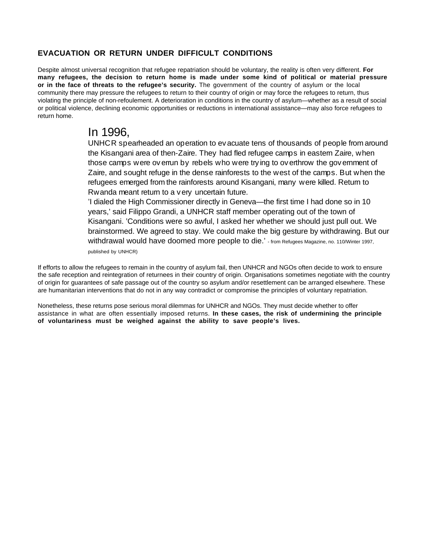#### **EVACUATION OR RETURN UNDER DIFFICULT CONDITIONS**

Despite almost universal recognition that refugee repatriation should be voluntary, the reality is often very different. **For many refugees, the decision to return home is made under some kind of political or material pressure or in the face of threats to the refugee's security.** The government of the country of asylum or the local community there may pressure the refugees to return to their country of origin or may force the refugees to return, thus violating the principle of non-refoulement. A deterioration in conditions in the country of asylum—whether as a result of social or political violence, declining economic opportunities or reductions in international assistance—may also force refugees to return home.

## In 1996,

UNHCR spearheaded an operation to evacuate tens of thousands of people from around the Kisangani area of then-Zaire. They had fled refugee camps in eastern Zaire, when those camps were overrun by rebels who were trying to overthrow the government of Zaire, and sought refuge in the dense rainforests to the west of the camps. But when the refugees emerged from the rainforests around Kisangani, many were killed. Return to Rwanda meant return to a very uncertain future.

'I dialed the High Commissioner directly in Geneva—the first time I had done so in 10 years,' said Filippo Grandi, a UNHCR staff member operating out of the town of Kisangani. 'Conditions were so awful, I asked her whether we should just pull out. We brainstormed. We agreed to stay. We could make the big gesture by withdrawing. But our withdrawal would have doomed more people to die.' - from Refugees Magazine, no. 110/Winter 1997,

published by UNHCR)

If efforts to allow the refugees to remain in the country of asylum fail, then UNHCR and NGOs often decide to work to ensure the safe reception and reintegration of returnees in their country of origin. Organisations sometimes negotiate with the country of origin for guarantees of safe passage out of the country so asylum and/or resettlement can be arranged elsewhere. These are humanitarian interventions that do not in any way contradict or compromise the principles of voluntary repatriation.

Nonetheless, these returns pose serious moral dilemmas for UNHCR and NGOs. They must decide whether to offer assistance in what are often essentially imposed returns. **In these cases, the risk of undermining the principle of voluntariness must be weighed against the ability to save people's lives.**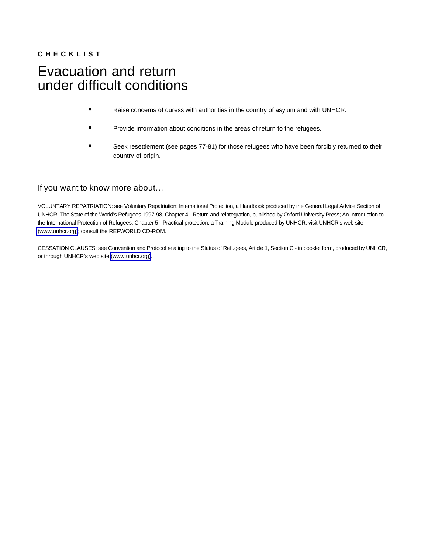## **C H E C K L I S T** Evacuation and return under difficult conditions

- Raise concerns of duress with authorities in the country of asylum and with UNHCR.
- Provide information about conditions in the areas of return to the refugees.
- Seek resettlement (see pages 77-81) for those refugees who have been forcibly returned to their country of origin.

#### If you want to know more about…

VOLUNTARY REPATRIATION: see Voluntary Repatriation: International Protection, a Handbook produced by the General Legal Advice Section of UNHCR; The State of the World's Refugees 1997-98, Chapter 4 - Return and reintegration, published by Oxford University Press; An Introduction to the International Protection of Refugees, Chapter 5 - Practical protection, a Training Module produced by UNHCR; visit UNHCR's web site [\(www.unhcr.](http://www.unhcr.org)org); consult the REFWORLD CD-ROM.

CESSATION CLAUSES: see Convention and Protocol relating to the Status of Refugees, Article 1, Section C - in booklet form, produced by UNHCR, or through UNHCR's web site [\(www.unhcr.](http://www.unhcr.org)org).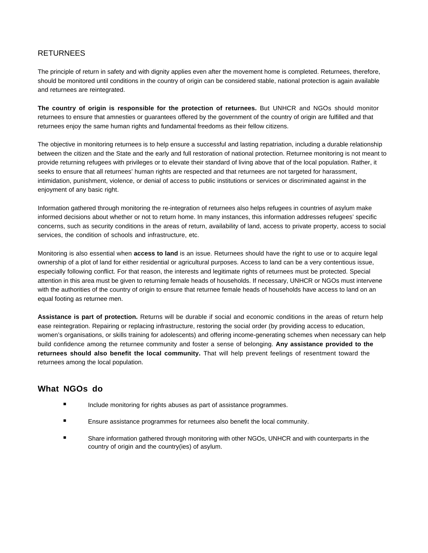#### RETURNEES

The principle of return in safety and with dignity applies even after the movement home is completed. Returnees, therefore, should be monitored until conditions in the country of origin can be considered stable, national protection is again available and returnees are reintegrated.

**The country of origin is responsible for the protection of returnees.** But UNHCR and NGOs should monitor returnees to ensure that amnesties or guarantees offered by the government of the country of origin are fulfilled and that returnees enjoy the same human rights and fundamental freedoms as their fellow citizens.

The objective in monitoring returnees is to help ensure a successful and lasting repatriation, including a durable relationship between the citizen and the State and the early and full restoration of national protection. Returnee monitoring is not meant to provide returning refugees with privileges or to elevate their standard of living above that of the local population. Rather, it seeks to ensure that all returnees' human rights are respected and that returnees are not targeted for harassment, intimidation, punishment, violence, or denial of access to public institutions or services or discriminated against in the enjoyment of any basic right.

Information gathered through monitoring the re-integration of returnees also helps refugees in countries of asylum make informed decisions about whether or not to return home. In many instances, this information addresses refugees' specific concerns, such as security conditions in the areas of return, availability of land, access to private property, access to social services, the condition of schools and infrastructure, etc.

Monitoring is also essential when **access to land** is an issue. Returnees should have the right to use or to acquire legal ownership of a plot of land for either residential or agricultural purposes. Access to land can be a very contentious issue, especially following conflict. For that reason, the interests and legitimate rights of returnees must be protected. Special attention in this area must be given to returning female heads of households. If necessary, UNHCR or NGOs must intervene with the authorities of the country of origin to ensure that returnee female heads of households have access to land on an equal footing as returnee men.

**Assistance is part of protection.** Returns will be durable if social and economic conditions in the areas of return help ease reintegration. Repairing or replacing infrastructure, restoring the social order (by providing access to education, women's organisations, or skills training for adolescents) and offering income-generating schemes when necessary can help build confidence among the returnee community and foster a sense of belonging. **Any assistance provided to the returnees should also benefit the local community.** That will help prevent feelings of resentment toward the returnees among the local population.

- Include monitoring for rights abuses as part of assistance programmes.
- Ensure assistance programmes for returnees also benefit the local community.
- Share information gathered through monitoring with other NGOs, UNHCR and with counterparts in the country of origin and the country(ies) of asylum.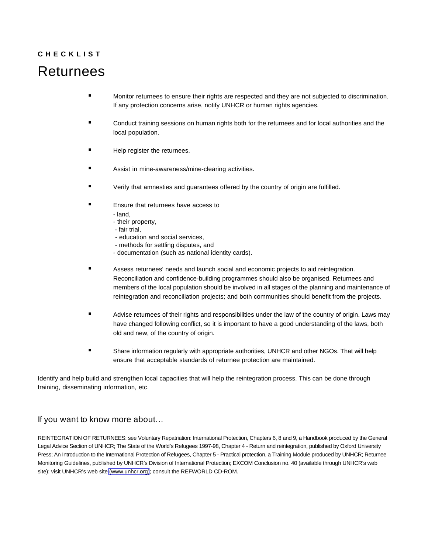# **C H E C K L I S T** Returnees

- **Monitor returnees to ensure their rights are respected and they are not subjected to discrimination.** If any protection concerns arise, notify UNHCR or human rights agencies.
- Conduct training sessions on human rights both for the returnees and for local authorities and the local population.
- Help register the returnees.
- Assist in mine-awareness/mine-clearing activities.
- Verify that amnesties and guarantees offered by the country of origin are fulfilled.
- Ensure that returnees have access to
	- land,
	- their property,
	- fair trial,
	- education and social services,
	- methods for settling disputes, and
	- documentation (such as national identity cards).
- Assess returnees' needs and launch social and economic projects to aid reintegration. Reconciliation and confidence-building programmes should also be organised. Returnees and members of the local population should be involved in all stages of the planning and maintenance of reintegration and reconciliation projects; and both communities should benefit from the projects.
- Advise returnees of their rights and responsibilities under the law of the country of origin. Laws may have changed following conflict, so it is important to have a good understanding of the laws, both old and new, of the country of origin.
- Share information regularly with appropriate authorities, UNHCR and other NGOs. That will help ensure that acceptable standards of returnee protection are maintained.

Identify and help build and strengthen local capacities that will help the reintegration process. This can be done through training, disseminating information, etc.

#### If you want to know more about…

REINTEGRATION OF RETURNEES: see Voluntary Repatriation: International Protection, Chapters 6, 8 and 9, a Handbook produced by the General Legal Advice Section of UNHCR; The State of the World's Refugees 1997-98, Chapter 4 - Return and reintegration, published by Oxford University Press; An Introduction to the International Protection of Refugees, Chapter 5 - Practical protection, a Training Module produced by UNHCR; Returnee Monitoring Guidelines, published by UNHCR's Division of International Protection; EXCOM Conclusion no. 40 (available through UNHCR's web site); visit UNHCR's web site [\(www.unhcr.](http://www.unhcr.org)org); consult the REFWORLD CD-ROM.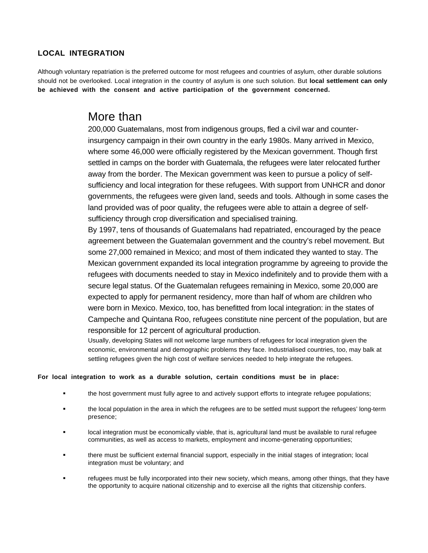#### **LOCAL INTEGRATION**

Although voluntary repatriation is the preferred outcome for most refugees and countries of asylum, other durable solutions should not be overlooked. Local integration in the country of asylum is one such solution. But **local settlement can only be achieved with the consent and active participation of the government concerned.**

## More than

200,000 Guatemalans, most from indigenous groups, fled a civil war and counterinsurgency campaign in their own country in the early 1980s. Many arrived in Mexico, where some 46,000 were officially registered by the Mexican government. Though first settled in camps on the border with Guatemala, the refugees were later relocated further away from the border. The Mexican government was keen to pursue a policy of selfsufficiency and local integration for these refugees. With support from UNHCR and donor governments, the refugees were given land, seeds and tools. Although in some cases the land provided was of poor quality, the refugees were able to attain a degree of selfsufficiency through crop diversification and specialised training.

By 1997, tens of thousands of Guatemalans had repatriated, encouraged by the peace agreement between the Guatemalan government and the country's rebel movement. But some 27,000 remained in Mexico; and most of them indicated they wanted to stay. The Mexican government expanded its local integration programme by agreeing to provide the refugees with documents needed to stay in Mexico indefinitely and to provide them with a secure legal status. Of the Guatemalan refugees remaining in Mexico, some 20,000 are expected to apply for permanent residency, more than half of whom are children who were born in Mexico. Mexico, too, has benefitted from local integration: in the states of Campeche and Quintana Roo, refugees constitute nine percent of the population, but are responsible for 12 percent of agricultural production.

Usually, developing States will not welcome large numbers of refugees for local integration given the economic, environmental and demographic problems they face. Industrialised countries, too, may balk at settling refugees given the high cost of welfare services needed to help integrate the refugees.

#### **For local integration to work as a durable solution, certain conditions must be in place:**

- the host government must fully agree to and actively support efforts to integrate refugee populations;
- the local population in the area in which the refugees are to be settled must support the refugees' long-term presence;
- local integration must be economically viable, that is, agricultural land must be available to rural refugee communities, as well as access to markets, employment and income-generating opportunities;
- there must be sufficient external financial support, especially in the initial stages of integration; local integration must be voluntary; and
- refugees must be fully incorporated into their new society, which means, among other things, that they have the opportunity to acquire national citizenship and to exercise all the rights that citizenship confers.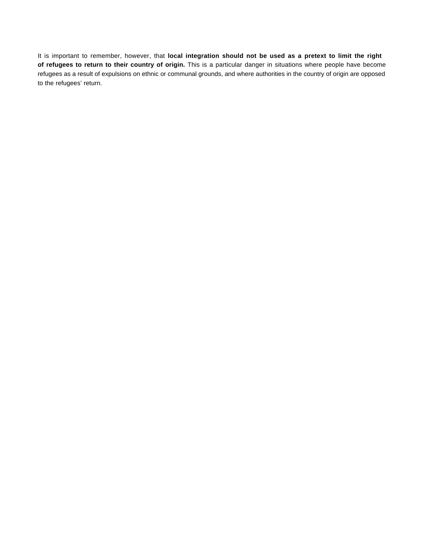It is important to remember, however, that **local integration should not be used as a pretext to limit the right of refugees to return to their country of origin.** This is a particular danger in situations where people have become refugees as a result of expulsions on ethnic or communal grounds, and where authorities in the country of origin are opposed to the refugees' return.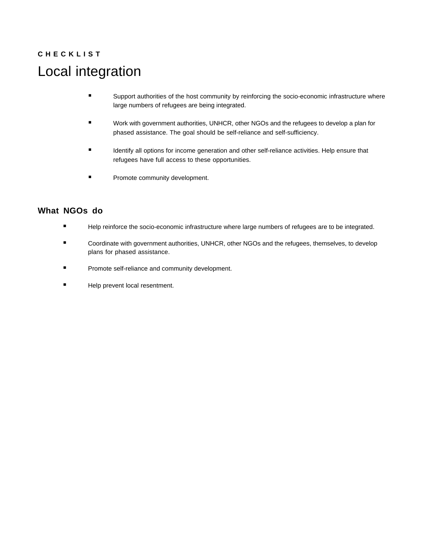# **C H E C K L I S T** Local integration

- **Support authorities of the host community by reinforcing the socio-economic infrastructure where** large numbers of refugees are being integrated.
- Work with government authorities, UNHCR, other NGOs and the refugees to develop a plan for phased assistance. The goal should be self-reliance and self-sufficiency.
- Identify all options for income generation and other self-reliance activities. Help ensure that refugees have full access to these opportunities.
- Promote community development.

- Help reinforce the socio-economic infrastructure where large numbers of refugees are to be integrated.
- Coordinate with government authorities, UNHCR, other NGOs and the refugees, themselves, to develop plans for phased assistance.
- Promote self-reliance and community development.
- **Help prevent local resentment.**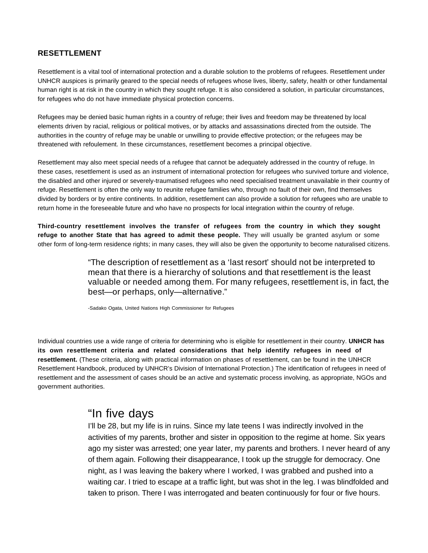#### **RESETTLEMENT**

Resettlement is a vital tool of international protection and a durable solution to the problems of refugees. Resettlement under UNHCR auspices is primarily geared to the special needs of refugees whose lives, liberty, safety, health or other fundamental human right is at risk in the country in which they sought refuge. It is also considered a solution, in particular circumstances, for refugees who do not have immediate physical protection concerns.

Refugees may be denied basic human rights in a country of refuge; their lives and freedom may be threatened by local elements driven by racial, religious or political motives, or by attacks and assassinations directed from the outside. The authorities in the country of refuge may be unable or unwilling to provide effective protection; or the refugees may be threatened with refoulement. In these circumstances, resettlement becomes a principal objective.

Resettlement may also meet special needs of a refugee that cannot be adequately addressed in the country of refuge. In these cases, resettlement is used as an instrument of international protection for refugees who survived torture and violence, the disabled and other injured or severely-traumatised refugees who need specialised treatment unavailable in their country of refuge. Resettlement is often the only way to reunite refugee families who, through no fault of their own, find themselves divided by borders or by entire continents. In addition, resettlement can also provide a solution for refugees who are unable to return home in the foreseeable future and who have no prospects for local integration within the country of refuge.

**Third-country resettlement involves the transfer of refugees from the country in which they sought refuge to another State that has agreed to admit these people.** They will usually be granted asylum or some other form of long-term residence rights; in many cases, they will also be given the opportunity to become naturalised citizens.

> "The description of resettlement as a 'last resort' should not be interpreted to mean that there is a hierarchy of solutions and that resettlement is the least valuable or needed among them. For many refugees, resettlement is, in fact, the best—or perhaps, only—alternative."

-Sadako Ogata, United Nations High Commissioner for Refugees

Individual countries use a wide range of criteria for determining who is eligible for resettlement in their country. **UNHCR has its own resettlement criteria and related considerations that help identify refugees in need of resettlement.** (These criteria, along with practical information on phases of resettlement, can be found in the UNHCR Resettlement Handbook, produced by UNHCR's Division of International Protection.) The identification of refugees in need of resettlement and the assessment of cases should be an active and systematic process involving, as appropriate, NGOs and government authorities.

## "In five days

I'll be 28, but my life is in ruins. Since my late teens I was indirectly involved in the activities of my parents, brother and sister in opposition to the regime at home. Six years ago my sister was arrested; one year later, my parents and brothers. I never heard of any of them again. Following their disappearance, I took up the struggle for democracy. One night, as I was leaving the bakery where I worked, I was grabbed and pushed into a waiting car. I tried to escape at a traffic light, but was shot in the leg. I was blindfolded and taken to prison. There I was interrogated and beaten continuously for four or five hours.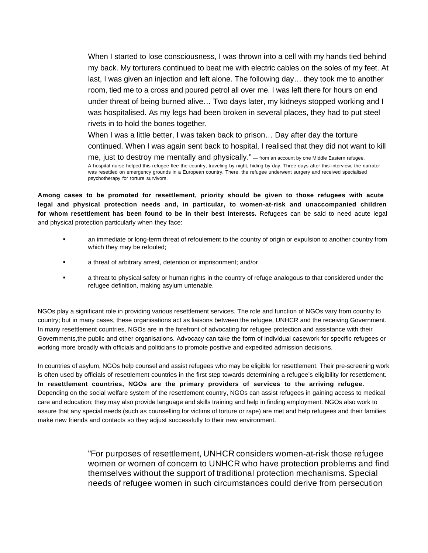When I started to lose consciousness, I was thrown into a cell with my hands tied behind my back. My torturers continued to beat me with electric cables on the soles of my feet. At last, I was given an injection and left alone. The following day… they took me to another room, tied me to a cross and poured petrol all over me. I was left there for hours on end under threat of being burned alive… Two days later, my kidneys stopped working and I was hospitalised. As my legs had been broken in several places, they had to put steel rivets in to hold the bones together.

When I was a little better, I was taken back to prison… Day after day the torture continued. When I was again sent back to hospital, I realised that they did not want to kill me, just to destroy me mentally and physically." — from an account by one Middle Eastern refugee. A hospital nurse helped this refugee flee the country, traveling by night, hiding by day. Three days after this interview, the narrator was resettled on emergency grounds in a European country. There, the refugee underwent surgery and received specialised psychotherapy for torture survivors.

**Among cases to be promoted for resettlement, priority should be given to those refugees with acute legal and physical protection needs and, in particular, to women-at-risk and unaccompanied children for whom resettlement has been found to be in their best interests.** Refugees can be said to need acute legal and physical protection particularly when they face:

- an immediate or long-term threat of refoulement to the country of origin or expulsion to another country from which they may be refouled;
- a threat of arbitrary arrest, detention or imprisonment; and/or
- a threat to physical safety or human rights in the country of refuge analogous to that considered under the refugee definition, making asylum untenable.

NGOs play a significant role in providing various resettlement services. The role and function of NGOs vary from country to country; but in many cases, these organisations act as liaisons between the refugee, UNHCR and the receiving Government. In many resettlement countries, NGOs are in the forefront of advocating for refugee protection and assistance with their Governments,the public and other organisations. Advocacy can take the form of individual casework for specific refugees or working more broadly with officials and politicians to promote positive and expedited admission decisions.

In countries of asylum, NGOs help counsel and assist refugees who may be eligible for resettlement. Their pre-screening work is often used by officials of resettlement countries in the first step towards determining a refugee's eligibility for resettlement. **In resettlement countries, NGOs are the primary providers of services to the arriving refugee.** Depending on the social welfare system of the resettlement country, NGOs can assist refugees in gaining access to medical care and education; they may also provide language and skills training and help in finding employment. NGOs also work to assure that any special needs (such as counselling for victims of torture or rape) are met and help refugees and their families make new friends and contacts so they adjust successfully to their new environment.

> "For purposes of resettlement, UNHCR considers women-at-risk those refugee women or women of concern to UNHCR who have protection problems and find themselves without the support of traditional protection mechanisms. Special needs of refugee women in such circumstances could derive from persecution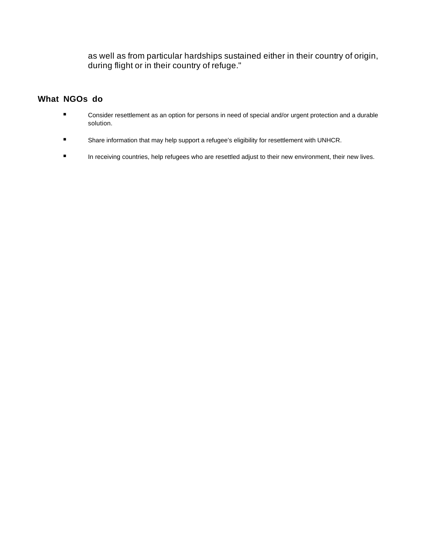as well as from particular hardships sustained either in their country of origin, during flight or in their country of refuge."

- **EXECONS** Consider resettlement as an option for persons in need of special and/or urgent protection and a durable solution.
- Share information that may help support a refugee's eligibility for resettlement with UNHCR.
- **In receiving countries, help refugees who are resettled adjust to their new environment, their new lives.**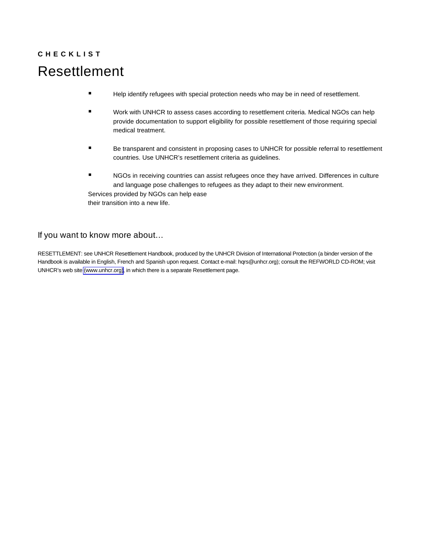# **C H E C K L I S T** Resettlement

- **Help identify refugees with special protection needs who may be in need of resettlement.**
- Work with UNHCR to assess cases according to resettlement criteria. Medical NGOs can help provide documentation to support eligibility for possible resettlement of those requiring special medical treatment.
- Be transparent and consistent in proposing cases to UNHCR for possible referral to resettlement countries. Use UNHCR's resettlement criteria as guidelines.
- NGOs in receiving countries can assist refugees once they have arrived. Differences in culture and language pose challenges to refugees as they adapt to their new environment. Services provided by NGOs can help ease their transition into a new life.

#### If you want to know more about…

RESETTLEMENT: see UNHCR Resettlement Handbook, produced by the UNHCR Division of International Protection (a binder version of the Handbook is available in English, French and Spanish upon request. Contact e-mail: hqrs@unhcr.org); consult the REFWORLD CD-ROM; visit UNHCR's web site [\(www.unhcr.](http://www.unhcr.org)org), in which there is a separate Resettlement page.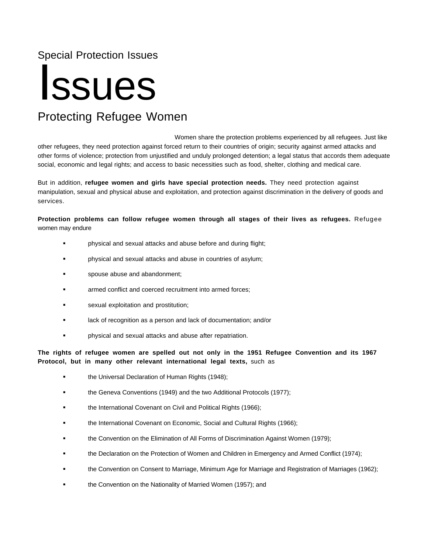## Special Protection Issues

# Issues

## Protecting Refugee Women

Women share the protection problems experienced by all refugees. Just like other refugees, they need protection against forced return to their countries of origin; security against armed attacks and other forms of violence; protection from unjustified and unduly prolonged detention; a legal status that accords them adequate social, economic and legal rights; and access to basic necessities such as food, shelter, clothing and medical care.

But in addition, **refugee women and girls have special protection needs.** They need protection against manipulation, sexual and physical abuse and exploitation, and protection against discrimination in the delivery of goods and services.

**Protection problems can follow refugee women through all stages of their lives as refugees.** Refugee women may endure

- physical and sexual attacks and abuse before and during flight;
- physical and sexual attacks and abuse in countries of asylum;
- spouse abuse and abandonment;
- armed conflict and coerced recruitment into armed forces;
- sexual exploitation and prostitution;
- lack of recognition as a person and lack of documentation; and/or
- physical and sexual attacks and abuse after repatriation.

**The rights of refugee women are spelled out not only in the 1951 Refugee Convention and its 1967 Protocol, but in many other relevant international legal texts,** such as

- the Universal Declaration of Human Rights (1948);
- **the Geneva Conventions (1949) and the two Additional Protocols (1977);**
- the International Covenant on Civil and Political Rights (1966);
- the International Covenant on Economic, Social and Cultural Rights (1966);
- the Convention on the Elimination of All Forms of Discrimination Against Women (1979);
- the Declaration on the Protection of Women and Children in Emergency and Armed Conflict (1974);
- the Convention on Consent to Marriage, Minimum Age for Marriage and Registration of Marriages (1962);
- **the Convention on the Nationality of Married Women (1957); and**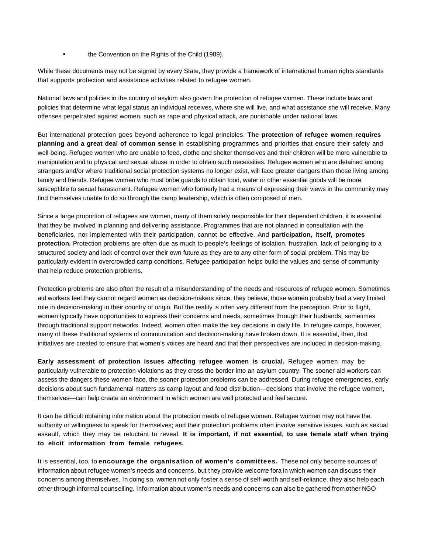the Convention on the Rights of the Child (1989).

While these documents may not be signed by every State, they provide a framework of international human rights standards that supports protection and assistance activities related to refugee women.

National laws and policies in the country of asylum also govern the protection of refugee women. These include laws and policies that determine what legal status an individual receives, where she will live, and what assistance she will receive. Many offenses perpetrated against women, such as rape and physical attack, are punishable under national laws.

But international protection goes beyond adherence to legal principles. **The protection of refugee women requires planning and a great deal of common sense** in establishing programmes and priorities that ensure their safety and well-being. Refugee women who are unable to feed, clothe and shelter themselves and their children will be more vulnerable to manipulation and to physical and sexual abuse in order to obtain such necessities. Refugee women who are detained among strangers and/or where traditional social protection systems no longer exist, will face greater dangers than those living among family and friends. Refugee women who must bribe guards to obtain food, water or other essential goods will be more susceptible to sexual harassment. Refugee women who formerly had a means of expressing their views in the community may find themselves unable to do so through the camp leadership, which is often composed of men.

Since a large proportion of refugees are women, many of them solely responsible for their dependent children, it is essential that they be involved in planning and delivering assistance. Programmes that are not planned in consultation with the beneficiaries, nor implemented with their participation, cannot be effective. And **participation, itself, promotes protection.** Protection problems are often due as much to people's feelings of isolation, frustration, lack of belonging to a structured society and lack of control over their own future as they are to any other form of social problem. This may be particularly evident in overcrowded camp conditions. Refugee participation helps build the values and sense of community that help reduce protection problems.

Protection problems are also often the result of a misunderstanding of the needs and resources of refugee women. Sometimes aid workers feel they cannot regard women as decision-makers since, they believe, those women probably had a very limited role in decision-making in their country of origin. But the reality is often very different from the perception. Prior to flight, women typically have opportunities to express their concerns and needs, sometimes through their husbands, sometimes through traditional support networks. Indeed, women often make the key decisions in daily life. In refugee camps, however, many of these traditional systems of communication and decision-making have broken down. It is essential, then, that initiatives are created to ensure that women's voices are heard and that their perspectives are included in decision-making.

**Early assessment of protection issues affecting refugee women is crucial.** Refugee women may be particularly vulnerable to protection violations as they cross the border into an asylum country. The sooner aid workers can assess the dangers these women face, the sooner protection problems can be addressed. During refugee emergencies, early decisions about such fundamental matters as camp layout and food distribution—decisions that involve the refugee women, themselves—can help create an environment in which women are well protected and feel secure.

It can be difficult obtaining information about the protection needs of refugee women. Refugee women may not have the authority or willingness to speak for themselves; and their protection problems often involve sensitive issues, such as sexual assault, which they may be reluctant to reveal. **It is important, if not essential, to use female staff when trying to elicit information from female refugees.**

It is essential, too, to **encourage the organisation of women's committees.** These not only become sources of information about refugee women's needs and concerns, but they provide welcome fora in which women can discuss their concerns among themselves. In doing so, women not only foster a sense of self-worth and self-reliance, they also help each other through informal counselling. Information about women's needs and concerns can also be gathered from other NGO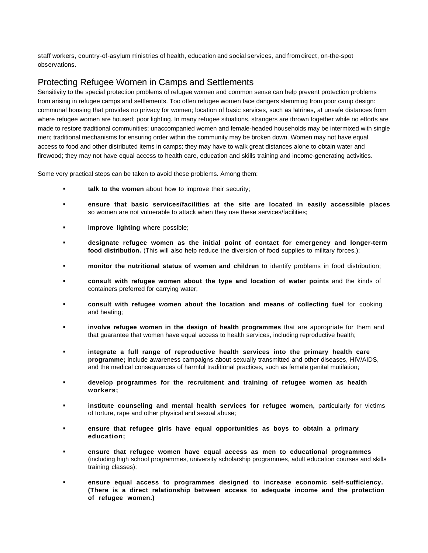staff workers, country-of-asylum ministries of health, education and social services, and from direct, on-the-spot observations.

#### Protecting Refugee Women in Camps and Settlements

Sensitivity to the special protection problems of refugee women and common sense can help prevent protection problems from arising in refugee camps and settlements. Too often refugee women face dangers stemming from poor camp design: communal housing that provides no privacy for women; location of basic services, such as latrines, at unsafe distances from where refugee women are housed; poor lighting. In many refugee situations, strangers are thrown together while no efforts are made to restore traditional communities; unaccompanied women and female-headed households may be intermixed with single men; traditional mechanisms for ensuring order within the community may be broken down. Women may not have equal access to food and other distributed items in camps; they may have to walk great distances alone to obtain water and firewood; they may not have equal access to health care, education and skills training and income-generating activities.

Some very practical steps can be taken to avoid these problems. Among them:

- **talk to the women** about how to improve their security;
- **ensure that basic services/facilities at the site are located in easily accessible places** so women are not vulnerable to attack when they use these services/facilities;
- **improve lighting** where possible;
- **designate refugee women as the initial point of contact for emergency and longer-term food distribution.** (This will also help reduce the diversion of food supplies to military forces.);
- **monitor the nutritional status of women and children** to identify problems in food distribution;
- **consult with refugee women about the type and location of water points** and the kinds of containers preferred for carrying water;
- **consult with refugee women about the location and means of collecting fuel** for cooking and heating;
- **involve refugee women in the design of health programmes** that are appropriate for them and that guarantee that women have equal access to health services, including reproductive health;
- **integrate a full range of reproductive health services into the primary health care programme;** include awareness campaigns about sexually transmitted and other diseases, HIV/AIDS, and the medical consequences of harmful traditional practices, such as female genital mutilation;
- **develop programmes for the recruitment and training of refugee women as health workers;**
- **institute counseling and mental health services for refugee women,** particularly for victims of torture, rape and other physical and sexual abuse;
- **ensure that refugee girls have equal opportunities as boys to obtain a primary education;**
- **ensure that refugee women have equal access as men to educational programmes** (including high school programmes, university scholarship programmes, adult education courses and skills training classes);
- **ensure equal access to programmes designed to increase economic self-sufficiency. (There is a direct relationship between access to adequate income and the protection of refugee women.)**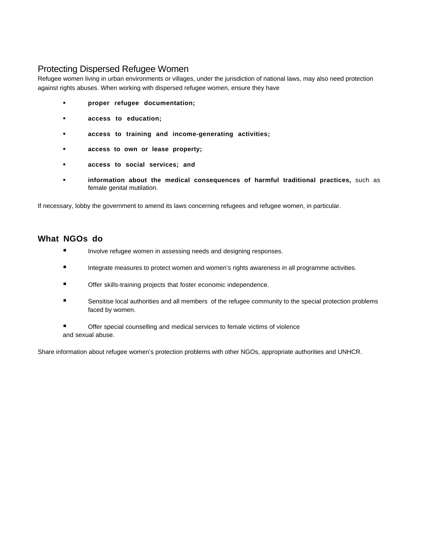### Protecting Dispersed Refugee Women

Refugee women living in urban environments or villages, under the jurisdiction of national laws, may also need protection against rights abuses. When working with dispersed refugee women, ensure they have

- **proper refugee documentation;**
- **access to education;**
- **access to training and income-generating activities;**
- **access to own or lease property;**
- **access to social services; and**
- **information about the medical consequences of harmful traditional practices,** such as female genital mutilation.

If necessary, lobby the government to amend its laws concerning refugees and refugee women, in particular.

#### **What NGOs do**

- **Involve refugee women in assessing needs and designing responses.**
- **Integrate measures to protect women and women's rights awareness in all programme activities.**
- Offer skills-training projects that foster economic independence.
- Sensitise local authorities and all members of the refugee community to the special protection problems faced by women.
- Offer special counselling and medical services to female victims of violence and sexual abuse.

Share information about refugee women's protection problems with other NGOs, appropriate authorities and UNHCR.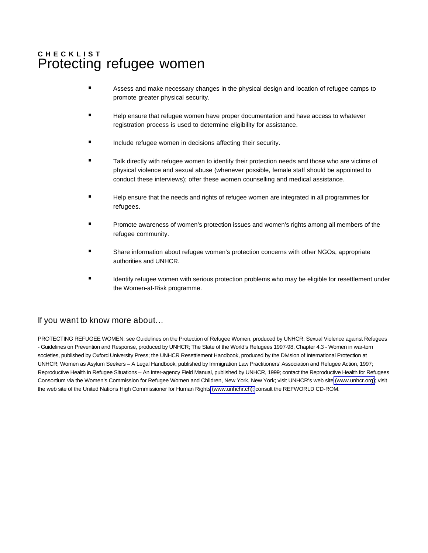## **C H E C K L I S T** Protecting refugee women

- Assess and make necessary changes in the physical design and location of refugee camps to promote greater physical security.
- Help ensure that refugee women have proper documentation and have access to whatever registration process is used to determine eligibility for assistance.
- Include refugee women in decisions affecting their security.
- Talk directly with refugee women to identify their protection needs and those who are victims of physical violence and sexual abuse (whenever possible, female staff should be appointed to conduct these interviews); offer these women counselling and medical assistance.
- Help ensure that the needs and rights of refugee women are integrated in all programmes for refugees.
- Promote awareness of women's protection issues and women's rights among all members of the refugee community.
- Share information about refugee women's protection concerns with other NGOs, appropriate authorities and UNHCR.
- Identify refugee women with serious protection problems who may be eligible for resettlement under the Women-at-Risk programme.

#### If you want to know more about…

PROTECTING REFUGEE WOMEN: see Guidelines on the Protection of Refugee Women, produced by UNHCR; Sexual Violence against Refugees - Guidelines on Prevention and Response, produced by UNHCR; The State of the World's Refugees 1997-98, Chapter 4.3 - Women in war-torn societies, published by Oxford University Press; the UNHCR Resettlement Handbook, produced by the Division of International Protection at UNHCR; Women as Asylum Seekers – A Legal Handbook, published by Immigration Law Practitioners' Association and Refugee Action, 1997; Reproductive Health in Refugee Situations – An Inter-agency Field Manual, published by UNHCR, 1999; contact the Reproductive Health for Refugees Consortium via the Women's Commission for Refugee Women and Children, New York, New York; visit UNHCR's web site [\(www.unhcr.](http://www.unhcr.org)org); visit the web site of the United Nations High Commissioner for Human Rights [\(www.unhchr.ch\);](http://www.unhcr.org) consult the REFWORLD CD-ROM.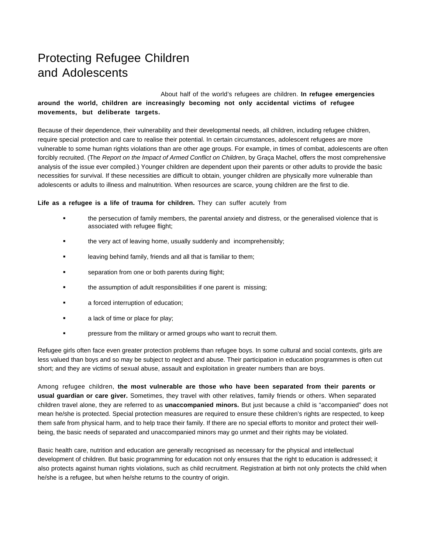## Protecting Refugee Children and Adolescents

#### About half of the world's refugees are children. **In refugee emergencies around the world, children are increasingly becoming not only accidental victims of refugee movements, but deliberate targets.**

Because of their dependence, their vulnerability and their developmental needs, all children, including refugee children, require special protection and care to realise their potential. In certain circumstances, adolescent refugees are more vulnerable to some human rights violations than are other age groups. For example, in times of combat, adolescents are often forcibly recruited. (The Report on the Impact of Armed Conflict on Children, by Graça Machel, offers the most comprehensive analysis of the issue ever compiled.) Younger children are dependent upon their parents or other adults to provide the basic necessities for survival. If these necessities are difficult to obtain, younger children are physically more vulnerable than adolescents or adults to illness and malnutrition. When resources are scarce, young children are the first to die.

#### **Life as a refugee is a life of trauma for children.** They can suffer acutely from

- the persecution of family members, the parental anxiety and distress, or the generalised violence that is associated with refugee flight;
- the very act of leaving home, usually suddenly and incomprehensibly;
- **Example 1** leaving behind family, friends and all that is familiar to them;
- **separation from one or both parents during flight;**
- the assumption of adult responsibilities if one parent is missing;
- a forced interruption of education;
- **a** lack of time or place for play;
- pressure from the military or armed groups who want to recruit them.

Refugee girls often face even greater protection problems than refugee boys. In some cultural and social contexts, girls are less valued than boys and so may be subject to neglect and abuse. Their participation in education programmes is often cut short; and they are victims of sexual abuse, assault and exploitation in greater numbers than are boys.

Among refugee children, **the most vulnerable are those who have been separated from their parents or usual guardian or care giver.** Sometimes, they travel with other relatives, family friends or others. When separated children travel alone, they are referred to as **unaccompanied minors.** But just because a child is "accompanied" does not mean he/she is protected. Special protection measures are required to ensure these children's rights are respected, to keep them safe from physical harm, and to help trace their family. If there are no special efforts to monitor and protect their wellbeing, the basic needs of separated and unaccompanied minors may go unmet and their rights may be violated.

Basic health care, nutrition and education are generally recognised as necessary for the physical and intellectual development of children. But basic programming for education not only ensures that the right to education is addressed; it also protects against human rights violations, such as child recruitment. Registration at birth not only protects the child when he/she is a refugee, but when he/she returns to the country of origin.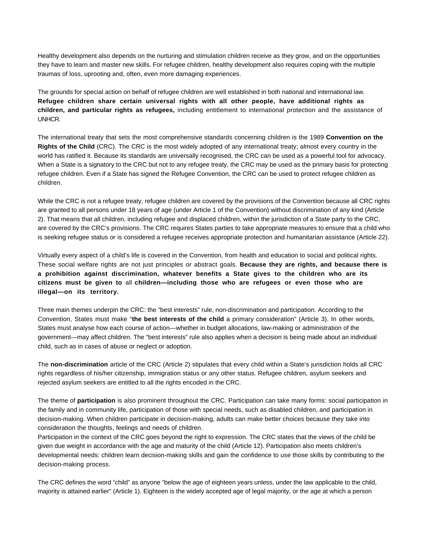Healthy development also depends on the nurturing and stimulation children receive as they grow, and on the opportunities they have to learn and master new skills. For refugee children, healthy development also requires coping with the multiple traumas of loss, uprooting and, often, even more damaging experiences.

The grounds for special action on behalf of refugee children are well established in both national and international law. **Refugee children share certain universal rights with all other people, have additional rights as children, and particular rights as refugees,** including entitlement to international protection and the assistance of UNHCR.

The international treaty that sets the most comprehensive standards concerning children is the 1989 **Convention on the Rights of the Child** (CRC). The CRC is the most widely adopted of any international treaty; almost every country in the world has ratified it. Because its standards are universally recognised, the CRC can be used as a powerful tool for advocacy. When a State is a signatory to the CRC but not to any refugee treaty, the CRC may be used as the primary basis for protecting refugee children. Even if a State has signed the Refugee Convention, the CRC can be used to protect refugee children as children.

While the CRC is not a refugee treaty, refugee children are covered by the provisions of the Convention because all CRC rights are granted to all persons under 18 years of age (under Article 1 of the Convention) without discrimination of any kind (Article 2). That means that all children, including refugee and displaced children, within the jurisdiction of a State party to the CRC, are covered by the CRC's provisions. The CRC requires States parties to take appropriate measures to ensure that a child who is seeking refugee status or is considered a refugee receives appropriate protection and humanitarian assistance (Article 22).

Virtually every aspect of a child's life is covered in the Convention, from health and education to social and political rights. These social welfare rights are not just principles or abstract goals. **Because they are rights, and because there is a prohibition against discrimination, whatever benefits a State gives to the children who are its citizens must be given to** all **children—including those who are refugees or even those who are illegal—on its territory.**

Three main themes underpin the CRC: the "best interests" rule, non-discrimination and participation. According to the Convention, States must make "**the best interests of the child** a primary consideration" (Article 3). In other words, States must analyse how each course of action—whether in budget allocations, law-making or administration of the government—may affect children. The "best interests" rule also applies when a decision is being made about an individual child, such as in cases of abuse or neglect or adoption.

The **non-discrimination** article of the CRC (Article 2) stipulates that every child within a State's jurisdiction holds all CRC rights regardless of his/her citizenship, immigration status or any other status. Refugee children, asylum seekers and rejected asylum seekers are entitled to all the rights encoded in the CRC.

The theme of **participation** is also prominent throughout the CRC. Participation can take many forms: social participation in the family and in community life, participation of those with special needs, such as disabled children, and participation in decision-making. When children participate in decision-making, adults can make better choices because they take into consideration the thoughts, feelings and needs of children.

Participation in the context of the CRC goes beyond the right to expression. The CRC states that the views of the child be given due weight in accordance with the age and maturity of the child (Article 12). Participation also meets children's developmental needs: children learn decision-making skills and gain the confidence to use those skills by contributing to the decision-making process.

The CRC defines the word "child" as anyone "below the age of eighteen years unless, under the law applicable to the child, majority is attained earlier" (Article 1). Eighteen is the widely accepted age of legal majority, or the age at which a person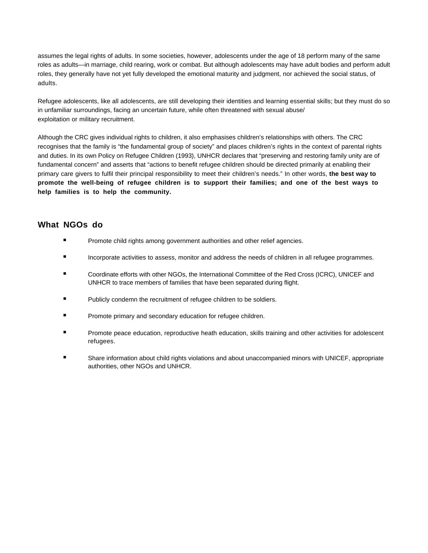assumes the legal rights of adults. In some societies, however, adolescents under the age of 18 perform many of the same roles as adults—in marriage, child rearing, work or combat. But although adolescents may have adult bodies and perform adult roles, they generally have not yet fully developed the emotional maturity and judgment, nor achieved the social status, of adults.

Refugee adolescents, like all adolescents, are still developing their identities and learning essential skills; but they must do so in unfamiliar surroundings, facing an uncertain future, while often threatened with sexual abuse/ exploitation or military recruitment.

Although the CRC gives individual rights to children, it also emphasises children's relationships with others. The CRC recognises that the family is "the fundamental group of society" and places children's rights in the context of parental rights and duties. In its own Policy on Refugee Children (1993), UNHCR declares that "preserving and restoring family unity are of fundamental concern" and asserts that "actions to benefit refugee children should be directed primarily at enabling their primary care givers to fulfil their principal responsibility to meet their children's needs." In other words, **the best way to promote the well-being of refugee children is to support their families; and one of the best ways to help families is to help the community.**

- **Promote child rights among government authorities and other relief agencies.**
- Incorporate activities to assess, monitor and address the needs of children in all refugee programmes.
- Coordinate efforts with other NGOs, the International Committee of the Red Cross (ICRC), UNICEF and UNHCR to trace members of families that have been separated during flight.
- Publicly condemn the recruitment of refugee children to be soldiers.
- Promote primary and secondary education for refugee children.
- Promote peace education, reproductive heath education, skills training and other activities for adolescent refugees.
- Share information about child rights violations and about unaccompanied minors with UNICEF, appropriate authorities, other NGOs and UNHCR.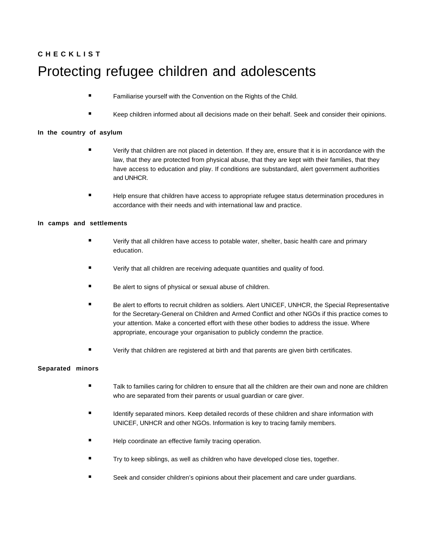# **C H E C K L I S T** Protecting refugee children and adolescents

- **Familiarise yourself with the Convention on the Rights of the Child.** 
	- Keep children informed about all decisions made on their behalf. Seek and consider their opinions.

#### **In the country of asylum**

- Verify that children are not placed in detention. If they are, ensure that it is in accordance with the law, that they are protected from physical abuse, that they are kept with their families, that they have access to education and play. If conditions are substandard, alert government authorities and UNHCR.
- Help ensure that children have access to appropriate refugee status determination procedures in accordance with their needs and with international law and practice.

#### **In camps and settlements**

- Verify that all children have access to potable water, shelter, basic health care and primary education.
- Verify that all children are receiving adequate quantities and quality of food.
- Be alert to signs of physical or sexual abuse of children.
- Be alert to efforts to recruit children as soldiers. Alert UNICEF, UNHCR, the Special Representative for the Secretary-General on Children and Armed Conflict and other NGOs if this practice comes to your attention. Make a concerted effort with these other bodies to address the issue. Where appropriate, encourage your organisation to publicly condemn the practice.
- Verify that children are registered at birth and that parents are given birth certificates.

#### **Separated minors**

- Talk to families caring for children to ensure that all the children are their own and none are children who are separated from their parents or usual guardian or care giver.
- Identify separated minors. Keep detailed records of these children and share information with UNICEF, UNHCR and other NGOs. Information is key to tracing family members.
- Help coordinate an effective family tracing operation.
- Try to keep siblings, as well as children who have developed close ties, together.
- Seek and consider children's opinions about their placement and care under guardians.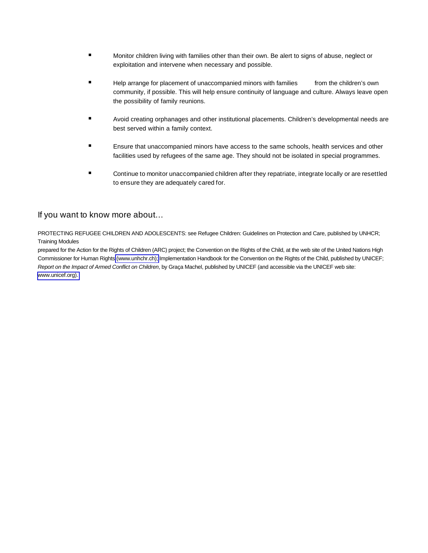- Monitor children living with families other than their own. Be alert to signs of abuse, neglect or exploitation and intervene when necessary and possible.
- **Help arrange for placement of unaccompanied minors with families** from the children's own community, if possible. This will help ensure continuity of language and culture. Always leave open the possibility of family reunions.
- Avoid creating orphanages and other institutional placements. Children's developmental needs are best served within a family context.
- Ensure that unaccompanied minors have access to the same schools, health services and other facilities used by refugees of the same age. They should not be isolated in special programmes.
- Continue to monitor unaccompanied children after they repatriate, integrate locally or are resettled to ensure they are adequately cared for.

#### If you want to know more about…

PROTECTING REFUGEE CHILDREN AND ADOLESCENTS: see Refugee Children: Guidelines on Protection and Care, published by UNHCR; Training Modules

prepared for the Action for the Rights of Children (ARC) project; the Convention on the Rights of the Child, at the web site of the United Nations High Commissioner for Human Rights [\(www.unhchr.ch\);](http://www.unhcr.org) Implementation Handbook for the Convention on the Rights of the Child, published by UNICEF; Report on the Impact of Armed Conflict on Children, by Graça Machel, published by UNICEF (and accessible via the UNICEF web site: [www.unicef.org\).](http://www.unicef.org)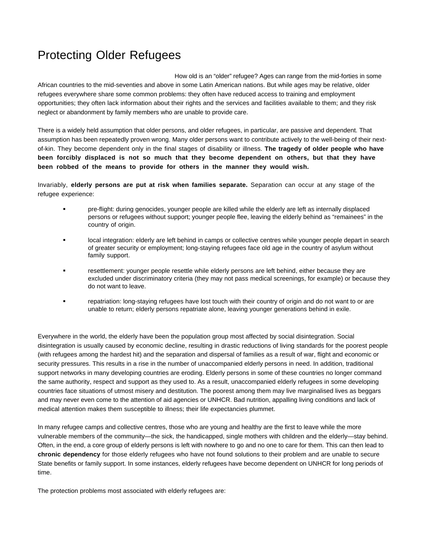## Protecting Older Refugees

How old is an "older" refugee? Ages can range from the mid-forties in some African countries to the mid-seventies and above in some Latin American nations. But while ages may be relative, older refugees everywhere share some common problems: they often have reduced access to training and employment opportunities; they often lack information about their rights and the services and facilities available to them; and they risk neglect or abandonment by family members who are unable to provide care.

There is a widely held assumption that older persons, and older refugees, in particular, are passive and dependent. That assumption has been repeatedly proven wrong. Many older persons want to contribute actively to the well-being of their nextof-kin. They become dependent only in the final stages of disability or illness. **The tragedy of older people who have been forcibly displaced is not so much that they become dependent on others, but that they have been robbed of the means to provide for others in the manner they would wish.**

Invariably, **elderly persons are put at risk when families separate.** Separation can occur at any stage of the refugee experience:

- pre-flight: during genocides, younger people are killed while the elderly are left as internally displaced persons or refugees without support; younger people flee, leaving the elderly behind as "remainees" in the country of origin.
- local integration: elderly are left behind in camps or collective centres while younger people depart in search of greater security or employment; long-staying refugees face old age in the country of asylum without family support.
- resettlement: younger people resettle while elderly persons are left behind, either because they are excluded under discriminatory criteria (they may not pass medical screenings, for example) or because they do not want to leave.
- repatriation: long-staying refugees have lost touch with their country of origin and do not want to or are unable to return; elderly persons repatriate alone, leaving younger generations behind in exile.

Everywhere in the world, the elderly have been the population group most affected by social disintegration. Social disintegration is usually caused by economic decline, resulting in drastic reductions of living standards for the poorest people (with refugees among the hardest hit) and the separation and dispersal of families as a result of war, flight and economic or security pressures. This results in a rise in the number of unaccompanied elderly persons in need. In addition, traditional support networks in many developing countries are eroding. Elderly persons in some of these countries no longer command the same authority, respect and support as they used to. As a result, unaccompanied elderly refugees in some developing countries face situations of utmost misery and destitution. The poorest among them may live marginalised lives as beggars and may never even come to the attention of aid agencies or UNHCR. Bad nutrition, appalling living conditions and lack of medical attention makes them susceptible to illness; their life expectancies plummet.

In many refugee camps and collective centres, those who are young and healthy are the first to leave while the more vulnerable members of the community—the sick, the handicapped, single mothers with children and the elderly—stay behind. Often, in the end, a core group of elderly persons is left with nowhere to go and no one to care for them. This can then lead to **chronic dependency** for those elderly refugees who have not found solutions to their problem and are unable to secure State benefits or family support. In some instances, elderly refugees have become dependent on UNHCR for long periods of time.

The protection problems most associated with elderly refugees are: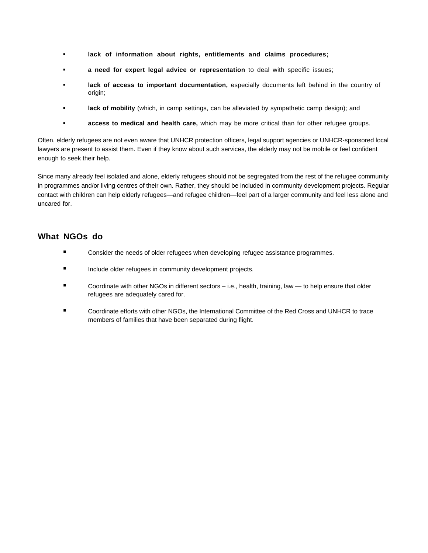- **lack of information about rights, entitlements and claims procedures;**
- **a need for expert legal advice or representation** to deal with specific issues;
- **lack of access to important documentation,** especially documents left behind in the country of origin;
- **lack of mobility** (which, in camp settings, can be alleviated by sympathetic camp design); and
- **access to medical and health care,** which may be more critical than for other refugee groups.

Often, elderly refugees are not even aware that UNHCR protection officers, legal support agencies or UNHCR-sponsored local lawyers are present to assist them. Even if they know about such services, the elderly may not be mobile or feel confident enough to seek their help.

Since many already feel isolated and alone, elderly refugees should not be segregated from the rest of the refugee community in programmes and/or living centres of their own. Rather, they should be included in community development projects. Regular contact with children can help elderly refugees—and refugee children—feel part of a larger community and feel less alone and uncared for.

- **EXECONSIDER THE NET CONSIDER THE CONSIDER THE CONSIDER THE CONSIDER THE CONSIDER THE CONSIDER THE CONSIDER THE CONSIDER THE CONSIDER THE CONSIDER THE CONSIDERT CONSIDERATION**
- **Include older refugees in community development projects.**
- Coordinate with other NGOs in different sectors i.e., health, training, law to help ensure that older refugees are adequately cared for.
- Coordinate efforts with other NGOs, the International Committee of the Red Cross and UNHCR to trace members of families that have been separated during flight.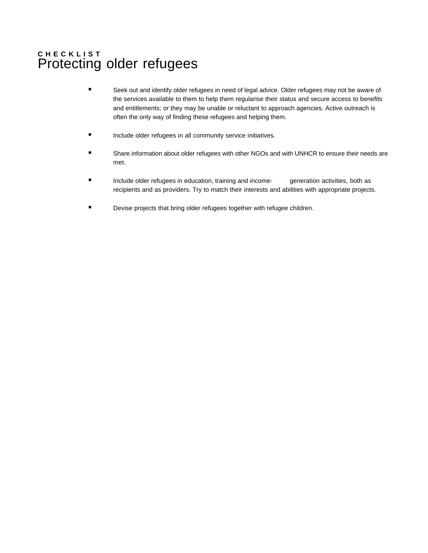## **C H E C K L I S T** Protecting older refugees

- Seek out and identify older refugees in need of legal advice. Older refugees may not be aware of the services available to them to help them regularise their status and secure access to benefits and entitlements; or they may be unable or reluctant to approach agencies. Active outreach is often the only way of finding these refugees and helping them.
- Include older refugees in all community service initiatives.
- Share information about older refugees with other NGOs and with UNHCR to ensure their needs are met.
- Include older refugees in education, training and income- generation activities, both as recipients and as providers. Try to match their interests and abilities with appropriate projects.
- Devise projects that bring older refugees together with refugee children.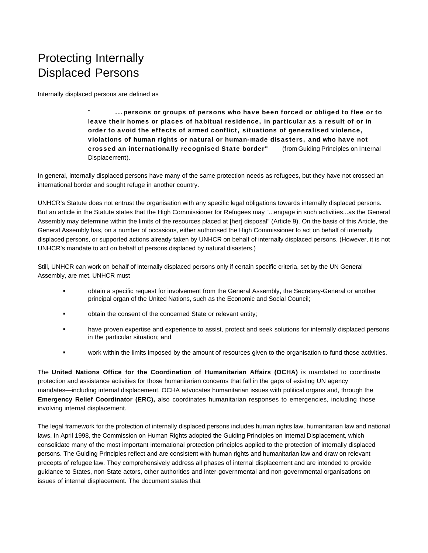## Protecting Internally Displaced Persons

Internally displaced persons are defined as

" **...persons or groups of persons who have been forced or obliged to flee or to leave their homes or places of habitual residence, in particular as a result of or in order to avoid the effects of armed conflict, situations of generalised violence, violations of human rights or natural or human-made disasters, and who have not crossed an internationally recognised State border"** (from Guiding Principles on Internal Displacement).

In general, internally displaced persons have many of the same protection needs as refugees, but they have not crossed an international border and sought refuge in another country.

UNHCR's Statute does not entrust the organisation with any specific legal obligations towards internally displaced persons. But an article in the Statute states that the High Commissioner for Refugees may "...engage in such activities...as the General Assembly may determine within the limits of the resources placed at [her] disposal" (Article 9). On the basis of this Article, the General Assembly has, on a number of occasions, either authorised the High Commissioner to act on behalf of internally displaced persons, or supported actions already taken by UNHCR on behalf of internally displaced persons. (However, it is not UNHCR's mandate to act on behalf of persons displaced by natural disasters.)

Still, UNHCR can work on behalf of internally displaced persons only if certain specific criteria, set by the UN General Assembly, are met. UNHCR must

- obtain a specific request for involvement from the General Assembly, the Secretary-General or another principal organ of the United Nations, such as the Economic and Social Council;
- obtain the consent of the concerned State or relevant entity;
- have proven expertise and experience to assist, protect and seek solutions for internally displaced persons in the particular situation; and
- work within the limits imposed by the amount of resources given to the organisation to fund those activities.

The **United Nations Office for the Coordination of Humanitarian Affairs (OCHA)** is mandated to coordinate protection and assistance activities for those humanitarian concerns that fall in the gaps of existing UN agency mandates—including internal displacement. OCHA advocates humanitarian issues with political organs and, through the **Emergency Relief Coordinator (ERC),** also coordinates humanitarian responses to emergencies, including those involving internal displacement.

The legal framework for the protection of internally displaced persons includes human rights law, humanitarian law and national laws. In April 1998, the Commission on Human Rights adopted the Guiding Principles on Internal Displacement, which consolidate many of the most important international protection principles applied to the protection of internally displaced persons. The Guiding Principles reflect and are consistent with human rights and humanitarian law and draw on relevant precepts of refugee law. They comprehensively address all phases of internal displacement and are intended to provide guidance to States, non-State actors, other authorities and inter-governmental and non-governmental organisations on issues of internal displacement. The document states that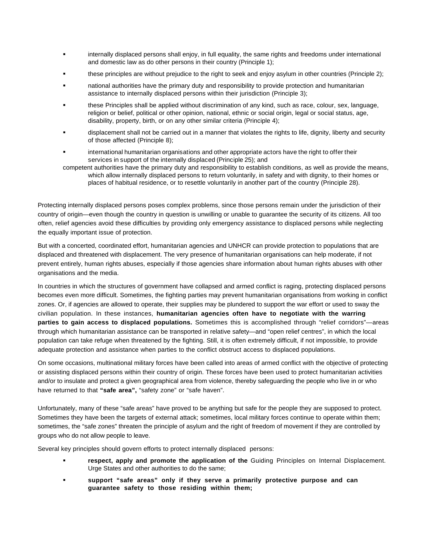- internally displaced persons shall enjoy, in full equality, the same rights and freedoms under international and domestic law as do other persons in their country (Principle 1);
- these principles are without prejudice to the right to seek and enjoy asylum in other countries (Principle 2);
- national authorities have the primary duty and responsibility to provide protection and humanitarian assistance to internally displaced persons within their jurisdiction (Principle 3);
- these Principles shall be applied without discrimination of any kind, such as race, colour, sex, language, religion or belief, political or other opinion, national, ethnic or social origin, legal or social status, age, disability, property, birth, or on any other similar criteria (Principle 4);
- displacement shall not be carried out in a manner that violates the rights to life, dignity, liberty and security of those affected (Principle 8);
- international humanitarian organisations and other appropriate actors have the right to offer their services in support of the internally displaced (Principle 25); and
- competent authorities have the primary duty and responsibility to establish conditions, as well as provide the means, which allow internally displaced persons to return voluntarily, in safety and with dignity, to their homes or places of habitual residence, or to resettle voluntarily in another part of the country (Principle 28).

Protecting internally displaced persons poses complex problems, since those persons remain under the jurisdiction of their country of origin—even though the country in question is unwilling or unable to guarantee the security of its citizens. All too often, relief agencies avoid these difficulties by providing only emergency assistance to displaced persons while neglecting the equally important issue of protection.

But with a concerted, coordinated effort, humanitarian agencies and UNHCR can provide protection to populations that are displaced and threatened with displacement. The very presence of humanitarian organisations can help moderate, if not prevent entirely, human rights abuses, especially if those agencies share information about human rights abuses with other organisations and the media.

In countries in which the structures of government have collapsed and armed conflict is raging, protecting displaced persons becomes even more difficult. Sometimes, the fighting parties may prevent humanitarian organisations from working in conflict zones. Or, if agencies are allowed to operate, their supplies may be plundered to support the war effort or used to sway the civilian population. In these instances, **humanitarian agencies often have to negotiate with the warring parties to gain access to displaced populations.** Sometimes this is accomplished through "relief corridors"—areas through which humanitarian assistance can be transported in relative safety—and "open relief centres", in which the local population can take refuge when threatened by the fighting. Still, it is often extremely difficult, if not impossible, to provide adequate protection and assistance when parties to the conflict obstruct access to displaced populations.

On some occasions, multinational military forces have been called into areas of armed conflict with the objective of protecting or assisting displaced persons within their country of origin. These forces have been used to protect humanitarian activities and/or to insulate and protect a given geographical area from violence, thereby safeguarding the people who live in or who have returned to that "safe area", "safety zone" or "safe haven".

Unfortunately, many of these "safe areas" have proved to be anything but safe for the people they are supposed to protect. Sometimes they have been the targets of external attack; sometimes, local military forces continue to operate within them; sometimes, the "safe zones" threaten the principle of asylum and the right of freedom of movement if they are controlled by groups who do not allow people to leave.

Several key principles should govern efforts to protect internally displaced persons:

- **respect, apply and promote the application of the** Guiding Principles on Internal Displacement. Urge States and other authorities to do the same;
- **support "safe areas" only if they serve a primarily protective purpose and can guarantee safety to those residing within them;**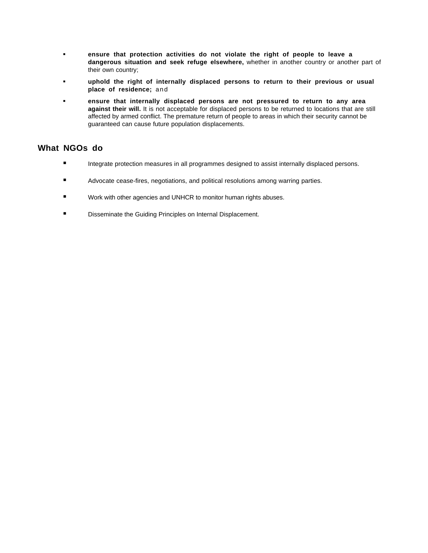- **ensure that protection activities do not violate the right of people to leave a dangerous situation and seek refuge elsewhere,** whether in another country or another part of their own country;
- **uphold the right of internally displaced persons to return to their previous or usual place of residence;** and
- **ensure that internally displaced persons are not pressured to return to any area against their will.** It is not acceptable for displaced persons to be returned to locations that are still affected by armed conflict. The premature return of people to areas in which their security cannot be guaranteed can cause future population displacements.

- **Integrate protection measures in all programmes designed to assist internally displaced persons.**
- Advocate cease-fires, negotiations, and political resolutions among warring parties.
- Work with other agencies and UNHCR to monitor human rights abuses.
- **E** Disseminate the Guiding Principles on Internal Displacement.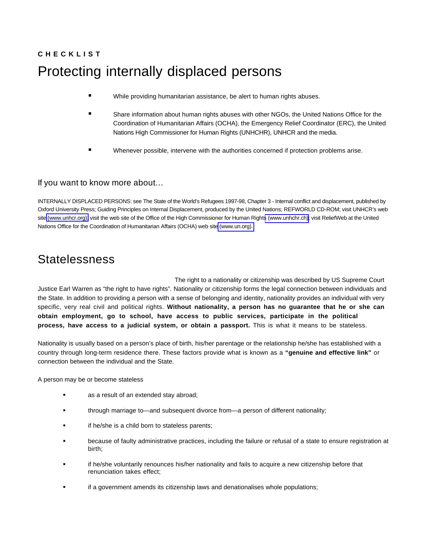# **C H E C K L I S T** Protecting internally displaced persons

- While providing humanitarian assistance, be alert to human rights abuses.
- Share information about human rights abuses with other NGOs, the United Nations Office for the Coordination of Humanitarian Affairs (OCHA), the Emergency Relief Coordinator (ERC), the United Nations High Commissioner for Human Rights (UNHCHR), UNHCR and the media.
- Whenever possible, intervene with the authorities concerned if protection problems arise.

#### If you want to know more about…

INTERNALLY DISPLACED PERSONS: see The State of the World's Refugees 1997-98, Chapter 3 - Internal conflict and displacement, published by Oxford University Press; Guiding Principles on Internal Displacement, produced by the United Nations; REFWORLD CD-ROM; visit UNHCR's web site [\(www.unhcr.](http://www.unhcr.org)org); visit the web site of the Office of the High Commissioner for Human Right[s \(www.unhchr.ch\)](http://www.unhcr.org); visit ReliefWeb at the United Nations Office for the Coordination of Humanitarian Affairs (OCHA) web site [\(www.un.org\).](http://www.un.org)

## Statelessness

The right to a nationality or citizenship was described by US Supreme Court Justice Earl Warren as "the right to have rights". Nationality or citizenship forms the legal connection between individuals and the State. In addition to providing a person with a sense of belonging and identity, nationality provides an individual with very specific, very real civil and political rights. **Without nationality, a person has no guarantee that he or she can obtain employment, go to school, have access to public services, participate in the political process, have access to a judicial system, or obtain a passport.** This is what it means to be stateless.

Nationality is usually based on a person's place of birth, his/her parentage or the relationship he/she has established with a country through long-term residence there. These factors provide what is known as a **"genuine and effective link"** or connection between the individual and the State.

A person may be or become stateless

- **as a result of an extended stay abroad;**
- through marriage to—and subsequent divorce from—a person of different nationality;
- **if he/she is a child born to stateless parents;**
- because of faulty administrative practices, including the failure or refusal of a state to ensure registration at birth;
- if he/she voluntarily renounces his/her nationality and fails to acquire a new citizenship before that renunciation takes effect;
- if a government amends its citizenship laws and denationalises whole populations;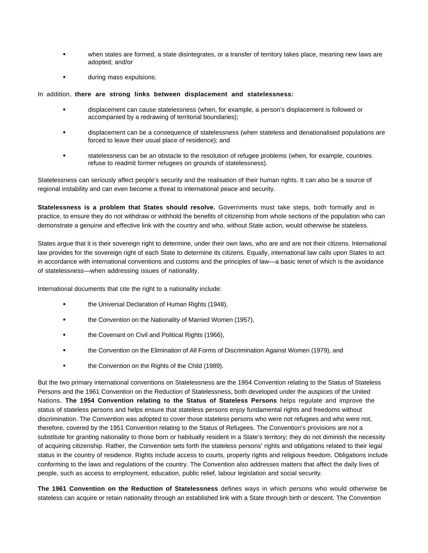- when states are formed, a state disintegrates, or a transfer of territory takes place, meaning new laws are adopted; and/or
- during mass expulsions.

#### In addition, **there are strong links between displacement and statelessness:**

- displacement can cause statelessness (when, for example, a person's displacement is followed or accompanied by a redrawing of territorial boundaries);
- displacement can be a consequence of statelessness (when stateless and denationalised populations are forced to leave their usual place of residence); and
- statelessness can be an obstacle to the resolution of refugee problems (when, for example, countries refuse to readmit former refugees on grounds of statelessness).

Statelessness can seriously affect people's security and the realisation of their human rights. It can also be a source of regional instability and can even become a threat to international peace and security.

**Statelessness is a problem that States should resolve.** Governments must take steps, both formally and in practice, to ensure they do not withdraw or withhold the benefits of citizenship from whole sections of the population who can demonstrate a genuine and effective link with the country and who, without State action, would otherwise be stateless.

States argue that it is their sovereign right to determine, under their own laws, who are and are not their citizens. International law provides for the sovereign right of each State to determine its citizens. Equally, international law calls upon States to act in accordance with international conventions and customs and the principles of law—a basic tenet of which is the avoidance of statelessness—when addressing issues of nationality.

International documents that cite the right to a nationality include:

- the Universal Declaration of Human Rights (1948),
- the Convention on the Nationality of Married Women (1957),
- the Covenant on Civil and Political Rights (1966),
- the Convention on the Elimination of All Forms of Discrimination Against Women (1979), and
- **the Convention on the Rights of the Child (1989).**

But the two primary international conventions on Statelessness are the 1954 Convention relating to the Status of Stateless Persons and the 1961 Convention on the Reduction of Statelessness, both developed under the auspices of the United Nations. **The 1954 Convention relating to the Status of Stateless Persons** helps regulate and improve the status of stateless persons and helps ensure that stateless persons enjoy fundamental rights and freedoms without discrimination. The Convention was adopted to cover those stateless persons who were not refugees and who were not, therefore, covered by the 1951 Convention relating to the Status of Refugees. The Convention's provisions are not a substitute for granting nationality to those born or habitually resident in a State's territory; they do not diminish the necessity of acquiring citizenship. Rather, the Convention sets forth the stateless persons' rights and obligations related to their legal status in the country of residence. Rights include access to courts, property rights and religious freedom. Obligations include conforming to the laws and regulations of the country. The Convention also addresses matters that affect the daily lives of people, such as access to employment, education, public relief, labour legislation and social security.

**The 1961 Convention on the Reduction of Statelessness** defines ways in which persons who would otherwise be stateless can acquire or retain nationality through an established link with a State through birth or descent. The Convention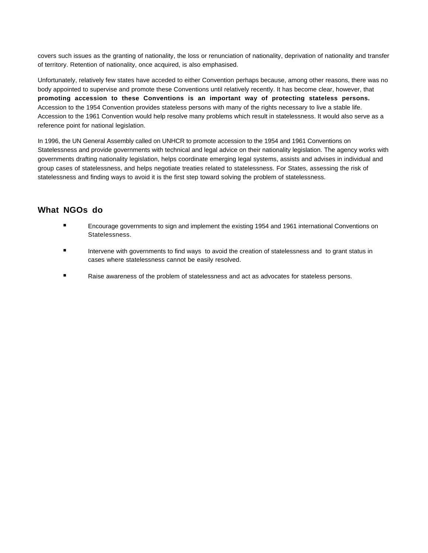covers such issues as the granting of nationality, the loss or renunciation of nationality, deprivation of nationality and transfer of territory. Retention of nationality, once acquired, is also emphasised.

Unfortunately, relatively few states have acceded to either Convention perhaps because, among other reasons, there was no body appointed to supervise and promote these Conventions until relatively recently. It has become clear, however, that **promoting accession to these Conventions is an important way of protecting stateless persons.** Accession to the 1954 Convention provides stateless persons with many of the rights necessary to live a stable life. Accession to the 1961 Convention would help resolve many problems which result in statelessness. It would also serve as a reference point for national legislation.

In 1996, the UN General Assembly called on UNHCR to promote accession to the 1954 and 1961 Conventions on Statelessness and provide governments with technical and legal advice on their nationality legislation. The agency works with governments drafting nationality legislation, helps coordinate emerging legal systems, assists and advises in individual and group cases of statelessness, and helps negotiate treaties related to statelessness. For States, assessing the risk of statelessness and finding ways to avoid it is the first step toward solving the problem of statelessness.

- Encourage governments to sign and implement the existing 1954 and 1961 international Conventions on Statelessness.
- Intervene with governments to find ways to avoid the creation of statelessness and to grant status in cases where statelessness cannot be easily resolved.
- Raise awareness of the problem of statelessness and act as advocates for stateless persons.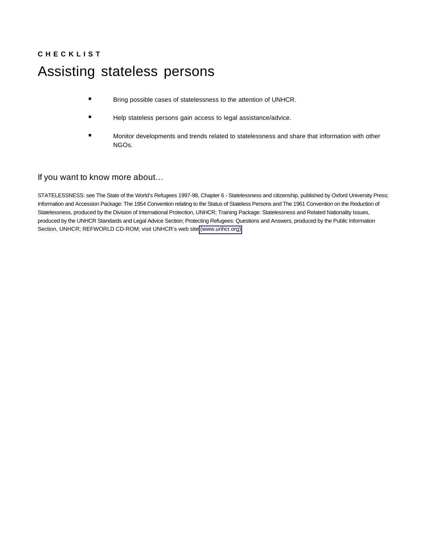# **C H E C K L I S T** Assisting stateless persons

- **Bring possible cases of statelessness to the attention of UNHCR.**
- Help stateless persons gain access to legal assistance/advice.
- Monitor developments and trends related to statelessness and share that information with other NGOs.

#### If you want to know more about…

STATELESSNESS: see The State of the World's Refugees 1997-98, Chapter 6 - Statelessness and citizenship, published by Oxford University Press; Information and Accession Package: The 1954 Convention relating to the Status of Stateless Persons and The 1961 Convention on the Reduction of Statelessness, produced by the Division of International Protection, UNHCR; Training Package: Statelessness and Related Nationality Issues, produced by the UNHCR Standards and Legal Advice Section; Protecting Refugees: Questions and Answers, produced by the Public Information Section, UNHCR; REFWORLD CD-ROM; visit UNHCR's web site [\(www.unhcr.](http://www.unhcr.org)org).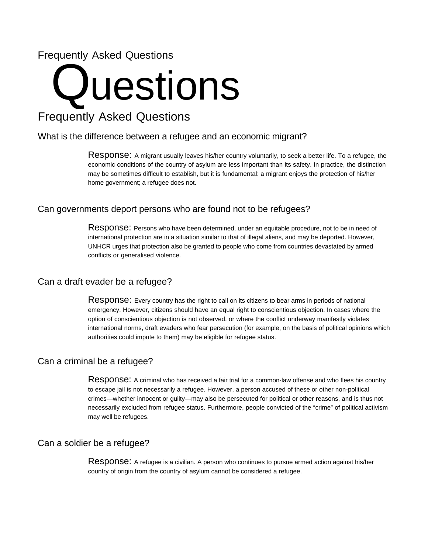## Frequently Asked Questions

## **Questions**

## Frequently Asked Questions

#### What is the difference between a refugee and an economic migrant?

Response: A migrant usually leaves his/her country voluntarily, to seek a better life. To a refugee, the economic conditions of the country of asylum are less important than its safety. In practice, the distinction may be sometimes difficult to establish, but it is fundamental: a migrant enjoys the protection of his/her home government; a refugee does not.

#### Can governments deport persons who are found not to be refugees?

Response: Persons who have been determined, under an equitable procedure, not to be in need of international protection are in a situation similar to that of illegal aliens, and may be deported. However, UNHCR urges that protection also be granted to people who come from countries devastated by armed conflicts or generalised violence.

#### Can a draft evader be a refugee?

Response: Every country has the right to call on its citizens to bear arms in periods of national emergency. However, citizens should have an equal right to conscientious objection. In cases where the option of conscientious objection is not observed, or where the conflict underway manifestly violates international norms, draft evaders who fear persecution (for example, on the basis of political opinions which authorities could impute to them) may be eligible for refugee status.

#### Can a criminal be a refugee?

Response: A criminal who has received a fair trial for a common-law offense and who flees his country to escape jail is not necessarily a refugee. However, a person accused of these or other non-political crimes—whether innocent or guilty—may also be persecuted for political or other reasons, and is thus not necessarily excluded from refugee status. Furthermore, people convicted of the "crime" of political activism may well be refugees.

#### Can a soldier be a refugee?

Response: A refugee is a civilian. A person who continues to pursue armed action against his/her country of origin from the country of asylum cannot be considered a refugee.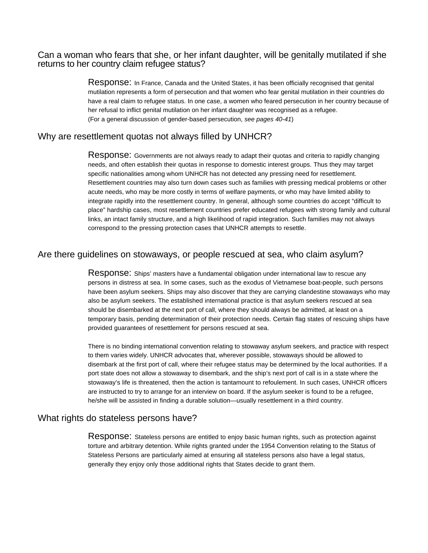#### Can a woman who fears that she, or her infant daughter, will be genitally mutilated if she returns to her country claim refugee status?

Response: In France, Canada and the United States, it has been officially recognised that genital mutilation represents a form of persecution and that women who fear genital mutilation in their countries do have a real claim to refugee status. In one case, a women who feared persecution in her country because of her refusal to inflict genital mutilation on her infant daughter was recognised as a refugee. (For a general discussion of gender-based persecution, see pages 40-41)

#### Why are resettlement quotas not always filled by UNHCR?

Response: Governments are not always ready to adapt their quotas and criteria to rapidly changing needs, and often establish their quotas in response to domestic interest groups. Thus they may target specific nationalities among whom UNHCR has not detected any pressing need for resettlement. Resettlement countries may also turn down cases such as families with pressing medical problems or other acute needs, who may be more costly in terms of welfare payments, or who may have limited ability to integrate rapidly into the resettlement country. In general, although some countries do accept "difficult to place" hardship cases, most resettlement countries prefer educated refugees with strong family and cultural links, an intact family structure, and a high likelihood of rapid integration. Such families may not always correspond to the pressing protection cases that UNHCR attempts to resettle.

#### Are there guidelines on stowaways, or people rescued at sea, who claim asylum?

Response: Ships' masters have a fundamental obligation under international law to rescue any persons in distress at sea. In some cases, such as the exodus of Vietnamese boat-people, such persons have been asylum seekers. Ships may also discover that they are carrying clandestine stowaways who may also be asylum seekers. The established international practice is that asylum seekers rescued at sea should be disembarked at the next port of call, where they should always be admitted, at least on a temporary basis, pending determination of their protection needs. Certain flag states of rescuing ships have provided guarantees of resettlement for persons rescued at sea.

There is no binding international convention relating to stowaway asylum seekers, and practice with respect to them varies widely. UNHCR advocates that, wherever possible, stowaways should be allowed to disembark at the first port of call, where their refugee status may be determined by the local authorities. If a port state does not allow a stowaway to disembark, and the ship's next port of call is in a state where the stowaway's life is threatened, then the action is tantamount to refoulement. In such cases, UNHCR officers are instructed to try to arrange for an interview on board. If the asylum seeker is found to be a refugee, he/she will be assisted in finding a durable solution—usually resettlement in a third country.

#### What rights do stateless persons have?

Response: Stateless persons are entitled to enjoy basic human rights, such as protection against torture and arbitrary detention. While rights granted under the 1954 Convention relating to the Status of Stateless Persons are particularly aimed at ensuring all stateless persons also have a legal status, generally they enjoy only those additional rights that States decide to grant them.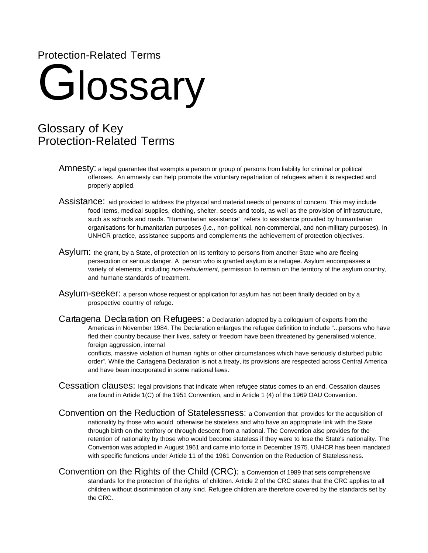### Protection-Related Terms

# **Glossary**

## Glossary of Key Protection-Related Terms

- Amnesty: a legal guarantee that exempts a person or group of persons from liability for criminal or political offenses. An amnesty can help promote the voluntary repatriation of refugees when it is respected and properly applied.
- Assistance: aid provided to address the physical and material needs of persons of concern. This may include food items, medical supplies, clothing, shelter, seeds and tools, as well as the provision of infrastructure, such as schools and roads. "Humanitarian assistance" refers to assistance provided by humanitarian organisations for humanitarian purposes (i.e., non-political, non-commercial, and non-military purposes). In UNHCR practice, assistance supports and complements the achievement of protection objectives.
- Asylum: the grant, by a State, of protection on its territory to persons from another State who are fleeing persecution or serious danger. A person who is granted asylum is a refugee. Asylum encompasses a variety of elements, including non-refoulement, permission to remain on the territory of the asylum country, and humane standards of treatment.
- Asylum-seeker: a person whose request or application for asylum has not been finally decided on by a prospective country of refuge.
- Cartagena Declaration on Refugees: a Declaration adopted by a colloquium of experts from the Americas in November 1984. The Declaration enlarges the refugee definition to include "...persons who have fled their country because their lives, safety or freedom have been threatened by generalised violence, foreign aggression, internal

conflicts, massive violation of human rights or other circumstances which have seriously disturbed public order". While the Cartagena Declaration is not a treaty, its provisions are respected across Central America and have been incorporated in some national laws.

- Cessation clauses: legal provisions that indicate when refugee status comes to an end. Cessation clauses are found in Article 1(C) of the 1951 Convention, and in Article 1 (4) of the 1969 OAU Convention.
- Convention on the Reduction of Statelessness: a Convention that provides for the acquisition of nationality by those who would otherwise be stateless and who have an appropriate link with the State through birth on the territory or through descent from a national. The Convention also provides for the retention of nationality by those who would become stateless if they were to lose the State's nationality. The Convention was adopted in August 1961 and came into force in December 1975. UNHCR has been mandated with specific functions under Article 11 of the 1961 Convention on the Reduction of Statelessness.
- Convention on the Rights of the Child (CRC): a Convention of 1989 that sets comprehensive standards for the protection of the rights of children. Article 2 of the CRC states that the CRC applies to all children without discrimination of any kind. Refugee children are therefore covered by the standards set by the CRC.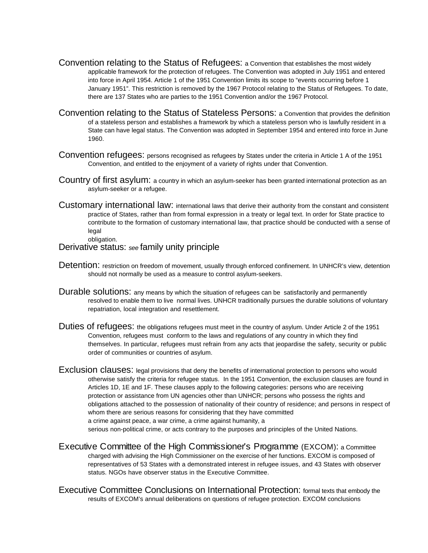- Convention relating to the Status of Refugees: a Convention that establishes the most widely applicable framework for the protection of refugees. The Convention was adopted in July 1951 and entered into force in April 1954. Article 1 of the 1951 Convention limits its scope to "events occurring before 1 January 1951". This restriction is removed by the 1967 Protocol relating to the Status of Refugees. To date, there are 137 States who are parties to the 1951 Convention and/or the 1967 Protocol.
- Convention relating to the Status of Stateless Persons: a Convention that provides the definition of a stateless person and establishes a framework by which a stateless person who is lawfully resident in a State can have legal status. The Convention was adopted in September 1954 and entered into force in June 1960.
- Convention refugees: persons recognised as refugees by States under the criteria in Article 1 A of the 1951 Convention, and entitled to the enjoyment of a variety of rights under that Convention.
- Country of first asylum: a country in which an asylum-seeker has been granted international protection as an asylum-seeker or a refugee.
- Customary international law: international laws that derive their authority from the constant and consistent practice of States, rather than from formal expression in a treaty or legal text. In order for State practice to contribute to the formation of customary international law, that practice should be conducted with a sense of legal

#### obligation.

#### Derivative status: see family unity principle

- Detention: restriction on freedom of movement, usually through enforced confinement. In UNHCR's view, detention should not normally be used as a measure to control asylum-seekers.
- Durable solutions: any means by which the situation of refugees can be satisfactorily and permanently resolved to enable them to live normal lives. UNHCR traditionally pursues the durable solutions of voluntary repatriation, local integration and resettlement.
- Duties of refugees: the obligations refugees must meet in the country of asylum. Under Article 2 of the 1951 Convention, refugees must conform to the laws and regulations of any country in which they find themselves. In particular, refugees must refrain from any acts that jeopardise the safety, security or public order of communities or countries of asylum.
- Exclusion clauses: legal provisions that deny the benefits of international protection to persons who would otherwise satisfy the criteria for refugee status. In the 1951 Convention, the exclusion clauses are found in Articles 1D, 1E and 1F. These clauses apply to the following categories: persons who are receiving protection or assistance from UN agencies other than UNHCR; persons who possess the rights and obligations attached to the possession of nationality of their country of residence; and persons in respect of whom there are serious reasons for considering that they have committed a crime against peace, a war crime, a crime against humanity, a

serious non-political crime, or acts contrary to the purposes and principles of the United Nations.

- Executive Committee of the High Commissioner's Programme (EXCOM): a Committee charged with advising the High Commissioner on the exercise of her functions. EXCOM is composed of representatives of 53 States with a demonstrated interest in refugee issues, and 43 States with observer status. NGOs have observer status in the Executive Committee.
- Executive Committee Conclusions on International Protection: formal texts that embody the results of EXCOM's annual deliberations on questions of refugee protection. EXCOM conclusions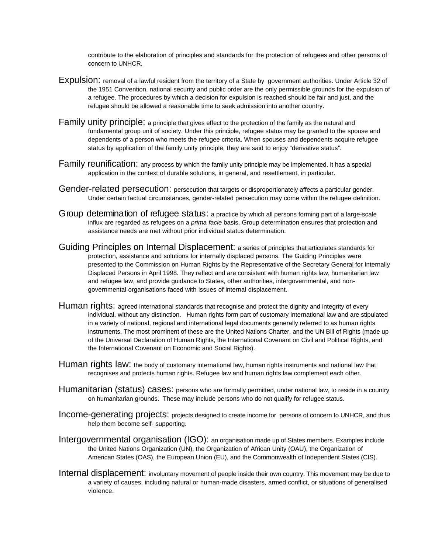contribute to the elaboration of principles and standards for the protection of refugees and other persons of concern to UNHCR.

- Expulsion: removal of a lawful resident from the territory of a State by government authorities. Under Article 32 of the 1951 Convention, national security and public order are the only permissible grounds for the expulsion of a refugee. The procedures by which a decision for expulsion is reached should be fair and just, and the refugee should be allowed a reasonable time to seek admission into another country.
- Family unity principle: a principle that gives effect to the protection of the family as the natural and fundamental group unit of society. Under this principle, refugee status may be granted to the spouse and dependents of a person who meets the refugee criteria. When spouses and dependents acquire refugee status by application of the family unity principle, they are said to enjoy "derivative status".
- Family reunification: any process by which the family unity principle may be implemented. It has a special application in the context of durable solutions, in general, and resettlement, in particular.
- Gender-related persecution: persecution that targets or disproportionately affects a particular gender. Under certain factual circumstances, gender-related persecution may come within the refugee definition.
- Group determination of refugee status: a practice by which all persons forming part of a large-scale influx are regarded as refugees on a *prima facie* basis. Group determination ensures that protection and assistance needs are met without prior individual status determination.
- Guiding Principles on Internal Displacement: a series of principles that articulates standards for protection, assistance and solutions for internally displaced persons. The Guiding Principles were presented to the Commission on Human Rights by the Representative of the Secretary General for Internally Displaced Persons in April 1998. They reflect and are consistent with human rights law, humanitarian law and refugee law, and provide guidance to States, other authorities, intergovernmental, and nongovernmental organisations faced with issues of internal displacement.
- Human rights: agreed international standards that recognise and protect the dignity and integrity of every individual, without any distinction. Human rights form part of customary international law and are stipulated in a variety of national, regional and international legal documents generally referred to as human rights instruments. The most prominent of these are the United Nations Charter, and the UN Bill of Rights (made up of the Universal Declaration of Human Rights, the International Covenant on Civil and Political Rights, and the International Covenant on Economic and Social Rights).
- Human rights law: the body of customary international law, human rights instruments and national law that recognises and protects human rights. Refugee law and human rights law complement each other.
- Humanitarian (status) cases: persons who are formally permitted, under national law, to reside in a country on humanitarian grounds. These may include persons who do not qualify for refugee status.
- Income-generating projects: projects designed to create income for persons of concern to UNHCR, and thus help them become self- supporting.
- Intergovernmental organisation (IGO): an organisation made up of States members. Examples include the United Nations Organization (UN), the Organization of African Unity (OAU), the Organization of American States (OAS), the European Union (EU), and the Commonwealth of Independent States (CIS).
- Internal displacement: involuntary movement of people inside their own country. This movement may be due to a variety of causes, including natural or human-made disasters, armed conflict, or situations of generalised violence.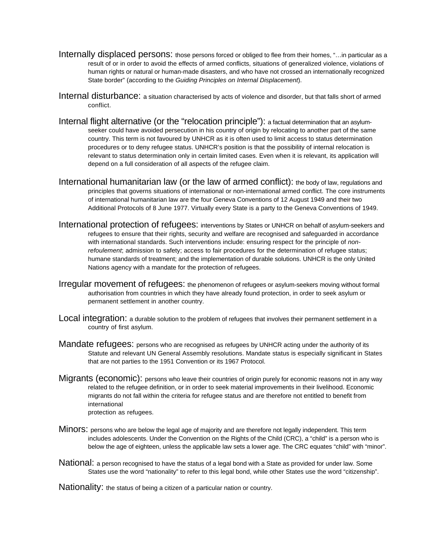- Internally displaced persons: those persons forced or obliged to flee from their homes, "…in particular as a result of or in order to avoid the effects of armed conflicts, situations of generalized violence, violations of human rights or natural or human-made disasters, and who have not crossed an internationally recognized State border" (according to the Guiding Principles on Internal Displacement).
- Internal disturbance: a situation characterised by acts of violence and disorder, but that falls short of armed conflict.
- Internal flight alternative (or the "relocation principle"): a factual determination that an asylumseeker could have avoided persecution in his country of origin by relocating to another part of the same country. This term is not favoured by UNHCR as it is often used to limit access to status determination procedures or to deny refugee status. UNHCR's position is that the possibility of internal relocation is relevant to status determination only in certain limited cases. Even when it is relevant, its application will depend on a full consideration of all aspects of the refugee claim.
- International humanitarian law (or the law of armed conflict): the body of law, regulations and principles that governs situations of international or non-international armed conflict. The core instruments of international humanitarian law are the four Geneva Conventions of 12 August 1949 and their two Additional Protocols of 8 June 1977. Virtually every State is a party to the Geneva Conventions of 1949.
- International protection of refugees: interventions by States or UNHCR on behalf of asylum-seekers and refugees to ensure that their rights, security and welfare are recognised and safeguarded in accordance with international standards. Such interventions include: ensuring respect for the principle of nonrefoulement; admission to safety; access to fair procedures for the determination of refugee status; humane standards of treatment; and the implementation of durable solutions. UNHCR is the only United Nations agency with a mandate for the protection of refugees.
- Irregular movement of refugees: the phenomenon of refugees or asylum-seekers moving without formal authorisation from countries in which they have already found protection, in order to seek asylum or permanent settlement in another country.
- Local integration: a durable solution to the problem of refugees that involves their permanent settlement in a country of first asylum.
- Mandate refugees: persons who are recognised as refugees by UNHCR acting under the authority of its Statute and relevant UN General Assembly resolutions. Mandate status is especially significant in States that are not parties to the 1951 Convention or its 1967 Protocol.
- Migrants (economic): persons who leave their countries of origin purely for economic reasons not in any way related to the refugee definition, or in order to seek material improvements in their livelihood. Economic migrants do not fall within the criteria for refugee status and are therefore not entitled to benefit from international protection as refugees.
- Minors: persons who are below the legal age of majority and are therefore not legally independent. This term includes adolescents. Under the Convention on the Rights of the Child (CRC), a "child" is a person who is below the age of eighteen, unless the applicable law sets a lower age. The CRC equates "child" with "minor".
- National: a person recognised to have the status of a legal bond with a State as provided for under law. Some States use the word "nationality" to refer to this legal bond, while other States use the word "citizenship".

Nationality: the status of being a citizen of a particular nation or country.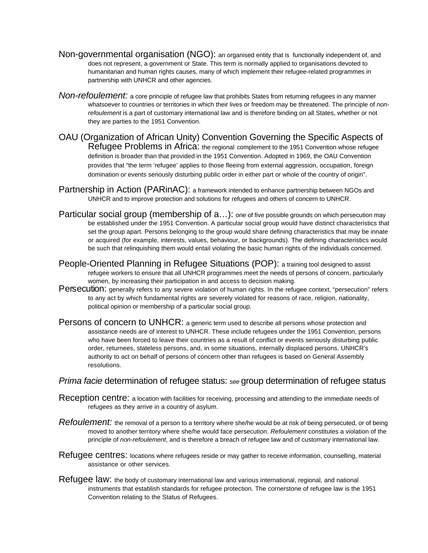- Non-governmental organisation (NGO): an organised entity that is functionally independent of, and does not represent, a government or State. This term is normally applied to organisations devoted to humanitarian and human rights causes, many of which implement their refugee-related programmes in partnership with UNHCR and other agencies.
- Non-refoulement: a core principle of refugee law that prohibits States from returning refugees in any manner whatsoever to countries or territories in which their lives or freedom may be threatened. The principle of nonrefoulement is a part of customary international law and is therefore binding on all States, whether or not they are parties to the 1951 Convention.
- OAU (Organization of African Unity) Convention Governing the Specific Aspects of Refugee Problems in Africa: the regional complement to the 1951 Convention whose refugee definition is broader than that provided in the 1951 Convention. Adopted in 1969, the OAU Convention provides that "the term 'refugee' applies to those fleeing from external aggression, occupation, foreign domination or events seriously disturbing public order in either part or whole of the country of origin".
- Partnership in Action (PARinAC): a framework intended to enhance partnership between NGOs and UNHCR and to improve protection and solutions for refugees and others of concern to UNHCR.
- Particular social group (membership of  $a...$ ): one of five possible grounds on which persecution may be established under the 1951 Convention. A particular social group would have distinct characteristics that set the group apart. Persons belonging to the group would share defining characteristics that may be innate or acquired (for example, interests, values, behaviour, or backgrounds). The defining characteristics would be such that relinquishing them would entail violating the basic human rights of the individuals concerned.
- People-Oriented Planning in Refugee Situations (POP): a training tool designed to assist refugee workers to ensure that all UNHCR programmes meet the needs of persons of concern, particularly women, by increasing their participation in and access to decision making.
- Persecution: generally refers to any severe violation of human rights. In the refugee context, "persecution" refers to any act by which fundamental rights are severely violated for reasons of race, religion, nationality, political opinion or membership of a particular social group.
- Persons of concern to UNHCR: a generic term used to describe all persons whose protection and assistance needs are of interest to UNHCR. These include refugees under the 1951 Convention, persons who have been forced to leave their countries as a result of conflict or events seriously disturbing public order, returnees, stateless persons, and, in some situations, internally displaced persons. UNHCR's authority to act on behalf of persons of concern other than refugees is based on General Assembly resolutions.

#### Prima facie determination of refugee status: see group determination of refugee status

- Reception centre: a location with facilities for receiving, processing and attending to the immediate needs of refugees as they arrive in a country of asylum.
- Refoulement: the removal of a person to a territory where she/he would be at risk of being persecuted, or of being moved to another territory where she/he would face persecution. Refoulement constitutes a violation of the principle of non-refoulement, and is therefore a breach of refugee law and of customary international law.
- Refugee centres: locations where refugees reside or may gather to receive information, counselling, material assistance or other services.
- Refugee law: the body of customary international law and various international, regional, and national instruments that establish standards for refugee protection. The cornerstone of refugee law is the 1951 Convention relating to the Status of Refugees.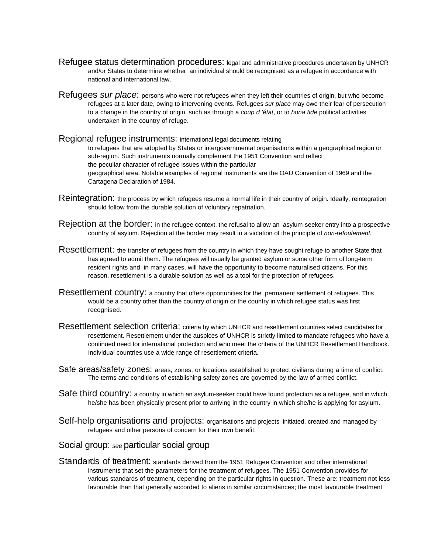- Refugee status determination procedures: legal and administrative procedures undertaken by UNHCR and/or States to determine whether an individual should be recognised as a refugee in accordance with national and international law.
- Refugees *sur place*: persons who were not refugees when they left their countries of origin, but who become refugees at a later date, owing to intervening events. Refugees sur place may owe their fear of persecution to a change in the country of origin, such as through a coup d 'état, or to bona fide political activities undertaken in the country of refuge.

Regional refugee instruments: international legal documents relating to refugees that are adopted by States or intergovernmental organisations within a geographical region or sub-region. Such instruments normally complement the 1951 Convention and reflect the peculiar character of refugee issues within the particular geographical area. Notable examples of regional instruments are the OAU Convention of 1969 and the Cartagena Declaration of 1984.

- Reintegration: the process by which refugees resume a normal life in their country of origin. Ideally, reintegration should follow from the durable solution of voluntary repatriation.
- Rejection at the border: in the refugee context, the refusal to allow an asylum-seeker entry into a prospective country of asylum. Rejection at the border may result in a violation of the principle of non-refoulement.
- Resettlement: the transfer of refugees from the country in which they have sought refuge to another State that has agreed to admit them. The refugees will usually be granted asylum or some other form of long-term resident rights and, in many cases, will have the opportunity to become naturalised citizens. For this reason, resettlement is a durable solution as well as a tool for the protection of refugees.
- Resettlement country: a country that offers opportunities for the permanent settlement of refugees. This would be a country other than the country of origin or the country in which refugee status was first recognised.
- Resettlement selection criteria: criteria by which UNHCR and resettlement countries select candidates for resettlement. Resettlement under the auspices of UNHCR is strictly limited to mandate refugees who have a continued need for international protection and who meet the criteria of the UNHCR Resettlement Handbook. Individual countries use a wide range of resettlement criteria.
- Safe areas/safety zones: areas, zones, or locations established to protect civilians during a time of conflict. The terms and conditions of establishing safety zones are governed by the law of armed conflict.
- Safe third country: a country in which an asylum-seeker could have found protection as a refugee, and in which he/she has been physically present prior to arriving in the country in which she/he is applying for asylum.
- Self-help organisations and projects: organisations and projects initiated, created and managed by refugees and other persons of concern for their own benefit.

#### Social group: see particular social group

Standards of treatment: standards derived from the 1951 Refugee Convention and other international instruments that set the parameters for the treatment of refugees. The 1951 Convention provides for various standards of treatment, depending on the particular rights in question. These are: treatment not less favourable than that generally accorded to aliens in similar circumstances; the most favourable treatment